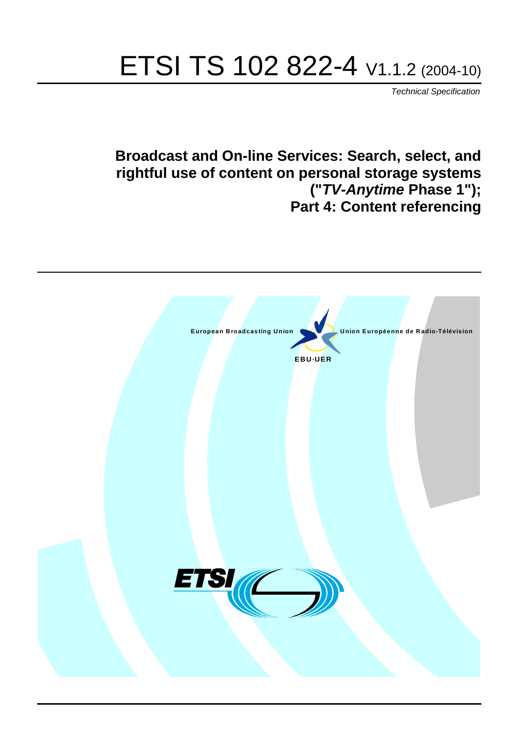# ETSI TS 102 822-4 V1.1.2 (2004-10)

Technical Specification

## **Broadcast and On-line Services: Search, select, and rightful use of content on personal storage systems ("TV-Anytime Phase 1"); Part 4: Content referencing**

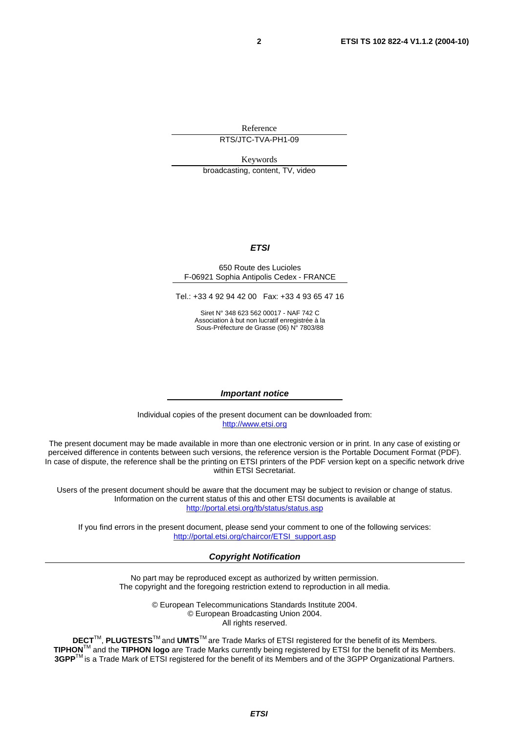Reference

RTS/JTC-TVA-PH1-09

Keywords

broadcasting, content, TV, video

#### **ETSI**

#### 650 Route des Lucioles F-06921 Sophia Antipolis Cedex - FRANCE

Tel.: +33 4 92 94 42 00 Fax: +33 4 93 65 47 16

Siret N° 348 623 562 00017 - NAF 742 C Association à but non lucratif enregistrée à la Sous-Préfecture de Grasse (06) N° 7803/88

#### **Important notice**

Individual copies of the present document can be downloaded from: [http://www.etsi.org](http://www.etsi.org/)

The present document may be made available in more than one electronic version or in print. In any case of existing or perceived difference in contents between such versions, the reference version is the Portable Document Format (PDF). In case of dispute, the reference shall be the printing on ETSI printers of the PDF version kept on a specific network drive within ETSI Secretariat.

Users of the present document should be aware that the document may be subject to revision or change of status. Information on the current status of this and other ETSI documents is available at <http://portal.etsi.org/tb/status/status.asp>

If you find errors in the present document, please send your comment to one of the following services: [http://portal.etsi.org/chaircor/ETSI\\_support.asp](http://portal.etsi.org/chaircor/ETSI_support.asp)

#### **Copyright Notification**

No part may be reproduced except as authorized by written permission. The copyright and the foregoing restriction extend to reproduction in all media.

> © European Telecommunications Standards Institute 2004. © European Broadcasting Union 2004. All rights reserved.

**DECT**TM, **PLUGTESTS**TM and **UMTS**TM are Trade Marks of ETSI registered for the benefit of its Members. **TIPHON**TM and the **TIPHON logo** are Trade Marks currently being registered by ETSI for the benefit of its Members. **3GPP**TM is a Trade Mark of ETSI registered for the benefit of its Members and of the 3GPP Organizational Partners.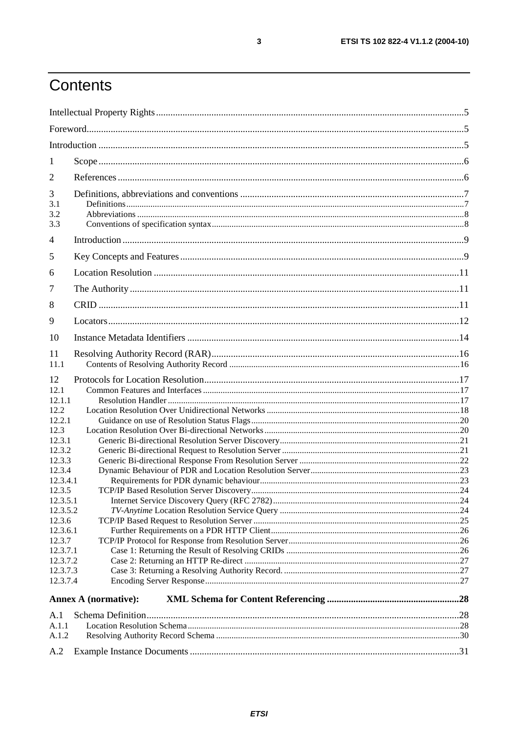# Contents

| 1                                                                                                                                                                                                                    |                             |  |
|----------------------------------------------------------------------------------------------------------------------------------------------------------------------------------------------------------------------|-----------------------------|--|
| 2                                                                                                                                                                                                                    |                             |  |
| 3<br>3.1<br>3.2<br>3.3                                                                                                                                                                                               |                             |  |
| $\overline{4}$                                                                                                                                                                                                       |                             |  |
| 5                                                                                                                                                                                                                    |                             |  |
| 6                                                                                                                                                                                                                    |                             |  |
| 7                                                                                                                                                                                                                    |                             |  |
| 8                                                                                                                                                                                                                    |                             |  |
| 9                                                                                                                                                                                                                    |                             |  |
| 10                                                                                                                                                                                                                   |                             |  |
| 11<br>11.1                                                                                                                                                                                                           |                             |  |
| 12<br>12.1<br>12.1.1<br>12.2<br>12.2.1<br>12.3<br>12.3.1<br>12.3.2<br>12.3.3<br>12.3.4<br>12.3.4.1<br>12.3.5<br>12.3.5.1<br>12.3.5.2<br>12.3.6<br>12.3.6.1<br>12.3.7<br>12.3.7.1<br>12.3.7.2<br>12.3.7.3<br>12.3.7.4 |                             |  |
|                                                                                                                                                                                                                      | <b>Annex A (normative):</b> |  |
| A.1<br>A.1.1                                                                                                                                                                                                         |                             |  |
| A.1.2                                                                                                                                                                                                                |                             |  |
| A.2                                                                                                                                                                                                                  |                             |  |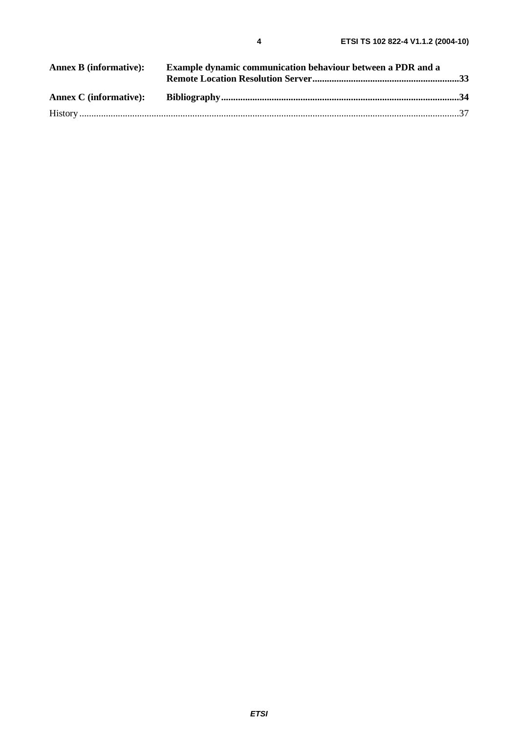| Example dynamic communication behaviour between a PDR and a<br><b>Annex B</b> (informative): |  |  |
|----------------------------------------------------------------------------------------------|--|--|
|                                                                                              |  |  |
|                                                                                              |  |  |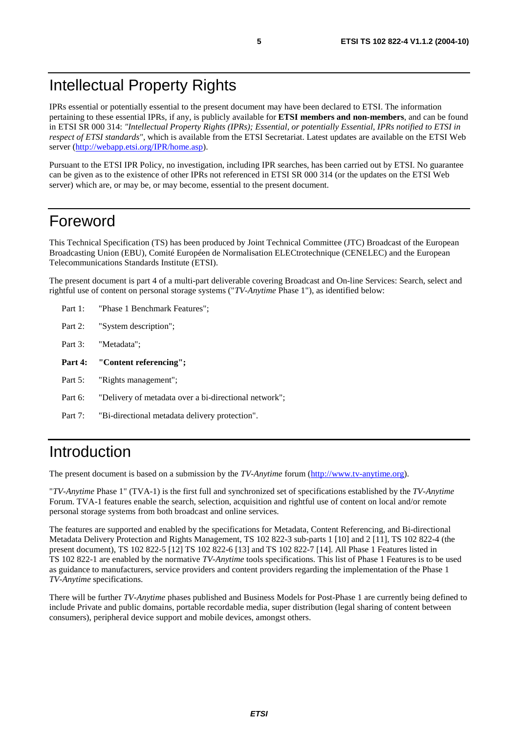# Intellectual Property Rights

IPRs essential or potentially essential to the present document may have been declared to ETSI. The information pertaining to these essential IPRs, if any, is publicly available for **ETSI members and non-members**, and can be found in ETSI SR 000 314: *"Intellectual Property Rights (IPRs); Essential, or potentially Essential, IPRs notified to ETSI in respect of ETSI standards"*, which is available from the ETSI Secretariat. Latest updates are available on the ETSI Web server ([http://webapp.etsi.org/IPR/home.asp\)](http://webapp.etsi.org/IPR/home.asp).

Pursuant to the ETSI IPR Policy, no investigation, including IPR searches, has been carried out by ETSI. No guarantee can be given as to the existence of other IPRs not referenced in ETSI SR 000 314 (or the updates on the ETSI Web server) which are, or may be, or may become, essential to the present document.

### Foreword

This Technical Specification (TS) has been produced by Joint Technical Committee (JTC) Broadcast of the European Broadcasting Union (EBU), Comité Européen de Normalisation ELECtrotechnique (CENELEC) and the European Telecommunications Standards Institute (ETSI).

The present document is part 4 of a multi-part deliverable covering Broadcast and On-line Services: Search, select and rightful use of content on personal storage systems ("*TV-Anytime* Phase 1"), as identified below:

- Part 1: "Phase 1 Benchmark Features";
- Part 2: "System description";
- Part 3: "Metadata";
- **Part 4: "Content referencing";**
- Part 5: "Rights management":
- Part 6: "Delivery of metadata over a bi-directional network";
- Part 7: "Bi-directional metadata delivery protection".

### Introduction

The present document is based on a submission by the *TV-Anytime* forum ([http://www.tv-anytime.org](http://www.tv-anytime.org/)).

"*TV-Anytime* Phase 1" (TVA-1) is the first full and synchronized set of specifications established by the *TV-Anytime* Forum. TVA-1 features enable the search, selection, acquisition and rightful use of content on local and/or remote personal storage systems from both broadcast and online services.

The features are supported and enabled by the specifications for Metadata, Content Referencing, and Bi-directional Metadata Delivery Protection and Rights Management, TS 102 822-3 sub-parts 1 [10] and 2 [11], TS 102 822-4 (the present document), TS 102 822-5 [12] TS 102 822-6 [13] and TS 102 822-7 [14]. All Phase 1 Features listed in TS 102 822-1 are enabled by the normative *TV-Anytime* tools specifications. This list of Phase 1 Features is to be used as guidance to manufacturers, service providers and content providers regarding the implementation of the Phase 1 *TV-Anytime* specifications.

There will be further *TV-Anytime* phases published and Business Models for Post-Phase 1 are currently being defined to include Private and public domains, portable recordable media, super distribution (legal sharing of content between consumers), peripheral device support and mobile devices, amongst others.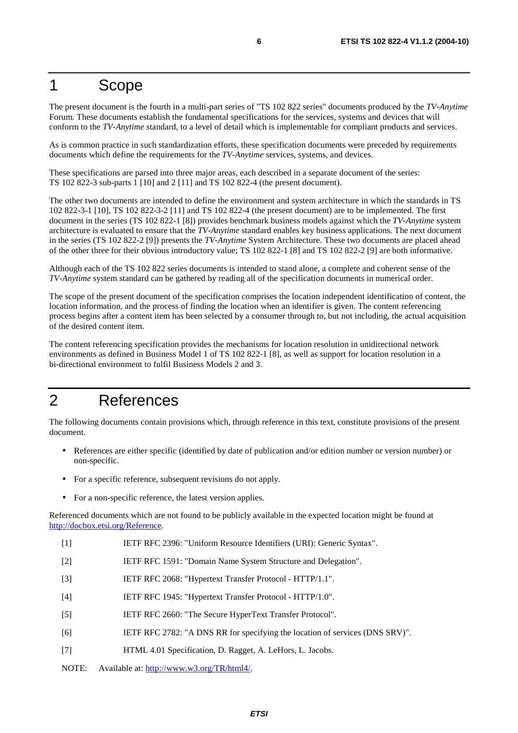### 1 Scope

The present document is the fourth in a multi-part series of "TS 102 822 series" documents produced by the *TV-Anytime* Forum. These documents establish the fundamental specifications for the services, systems and devices that will conform to the *TV-Anytime* standard, to a level of detail which is implementable for compliant products and services.

As is common practice in such standardization efforts, these specification documents were preceded by requirements documents which define the requirements for the *TV-Anytime* services, systems, and devices.

These specifications are parsed into three major areas, each described in a separate document of the series: TS 102 822-3 sub-parts 1 [10] and 2 [11] and TS 102 822-4 (the present document).

The other two documents are intended to define the environment and system architecture in which the standards in TS 102 822-3-1 [10], TS 102 822-3-2 [11] and TS 102 822-4 (the present document) are to be implemented. The first document in the series (TS 102 822-1 [8]) provides benchmark business models against which the *TV-Anytime* system architecture is evaluated to ensure that the *TV-Anytime* standard enables key business applications. The next document in the series (TS 102 822-2 [9]) presents the *TV-Anytime* System Architecture. These two documents are placed ahead of the other three for their obvious introductory value; TS 102 822-1 [8] and TS 102 822-2 [9] are both informative.

Although each of the TS 102 822 series documents is intended to stand alone, a complete and coherent sense of the *TV-Anytime* system standard can be gathered by reading all of the specification documents in numerical order.

The scope of the present document of the specification comprises the location independent identification of content, the location information, and the process of finding the location when an identifier is given. The content referencing process begins after a content item has been selected by a consumer through to, but not including, the actual acquisition of the desired content item.

The content referencing specification provides the mechanisms for location resolution in unidirectional network environments as defined in Business Model 1 of TS 102 822-1 [8], as well as support for location resolution in a bi-directional environment to fulfil Business Models 2 and 3.

# 2 References

The following documents contain provisions which, through reference in this text, constitute provisions of the present document.

- References are either specific (identified by date of publication and/or edition number or version number) or non-specific.
- For a specific reference, subsequent revisions do not apply.
- For a non-specific reference, the latest version applies.

Referenced documents which are not found to be publicly available in the expected location might be found at <http://docbox.etsi.org/Reference>.

- [1] IETF RFC 2396: "Uniform Resource Identifiers (URI): Generic Syntax".
- [2] IETF RFC 1591: "Domain Name System Structure and Delegation".
- [3] IETF RFC 2068: "Hypertext Transfer Protocol HTTP/1.1".
- [4] IETF RFC 1945: "Hypertext Transfer Protocol HTTP/1.0".
- [5] IETF RFC 2660: "The Secure HyperText Transfer Protocol".
- [6] IETF RFC 2782: "A DNS RR for specifying the location of services (DNS SRV)".
- [7] HTML 4.01 Specification, D. Ragget, A. LeHors, L. Jacobs.
- NOTE: Available at: [http://www.w3.org/TR/html4/.](http://www.w3.org/TR/html4/)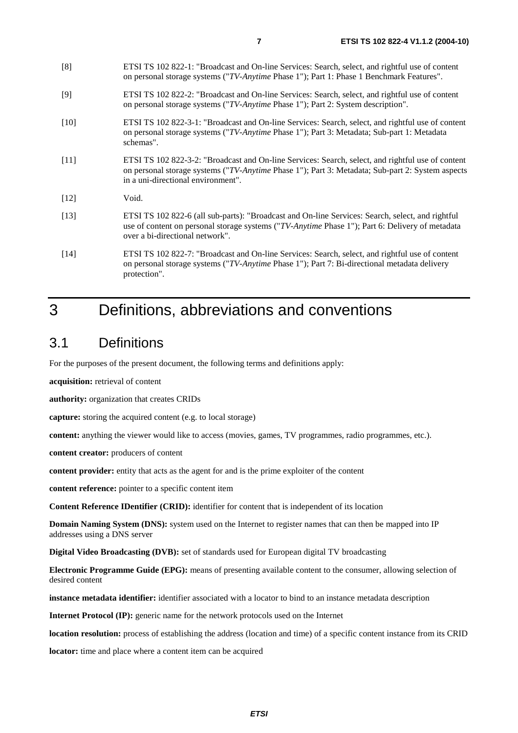[8] ETSI TS 102 822-1: "Broadcast and On-line Services: Search, select, and rightful use of content

|        | on personal storage systems ("TV-Anytime Phase 1"); Part 1: Phase 1 Benchmark Features".                                                                                                                                                    |
|--------|---------------------------------------------------------------------------------------------------------------------------------------------------------------------------------------------------------------------------------------------|
| $[9]$  | ETSI TS 102 822-2: "Broadcast and On-line Services: Search, select, and rightful use of content<br>on personal storage systems ("TV-Anytime Phase 1"); Part 2: System description".                                                         |
| $[10]$ | ETSI TS 102 822-3-1: "Broadcast and On-line Services: Search, select, and rightful use of content<br>on personal storage systems ("TV-Anytime Phase 1"); Part 3: Metadata; Sub-part 1: Metadata<br>schemas".                                |
| $[11]$ | ETSI TS 102 822-3-2: "Broadcast and On-line Services: Search, select, and rightful use of content<br>on personal storage systems ("TV-Anytime Phase 1"); Part 3: Metadata; Sub-part 2: System aspects<br>in a uni-directional environment". |
| $[12]$ | Void.                                                                                                                                                                                                                                       |
| $[13]$ | ETSI TS 102 822-6 (all sub-parts): "Broadcast and On-line Services: Search, select, and rightful<br>use of content on personal storage systems ("TV-Anytime Phase 1"); Part 6: Delivery of metadata<br>over a bi-directional network".      |
| $[14]$ | ETSI TS 102 822-7: "Broadcast and On-line Services: Search, select, and rightful use of content<br>on personal storage systems ("TV-Anytime Phase 1"); Part 7: Bi-directional metadata delivery<br>protection".                             |

# 3 Definitions, abbreviations and conventions

# 3.1 Definitions

For the purposes of the present document, the following terms and definitions apply:

**acquisition:** retrieval of content

**authority:** organization that creates CRIDs

**capture:** storing the acquired content (e.g. to local storage)

**content:** anything the viewer would like to access (movies, games, TV programmes, radio programmes, etc.).

**content creator:** producers of content

**content provider:** entity that acts as the agent for and is the prime exploiter of the content

**content reference:** pointer to a specific content item

**Content Reference IDentifier (CRID):** identifier for content that is independent of its location

**Domain Naming System (DNS):** system used on the Internet to register names that can then be mapped into IP addresses using a DNS server

**Digital Video Broadcasting (DVB):** set of standards used for European digital TV broadcasting

**Electronic Programme Guide (EPG):** means of presenting available content to the consumer, allowing selection of desired content

**instance metadata identifier:** identifier associated with a locator to bind to an instance metadata description

**Internet Protocol (IP):** generic name for the network protocols used on the Internet

**location resolution:** process of establishing the address (location and time) of a specific content instance from its CRID

**locator:** time and place where a content item can be acquired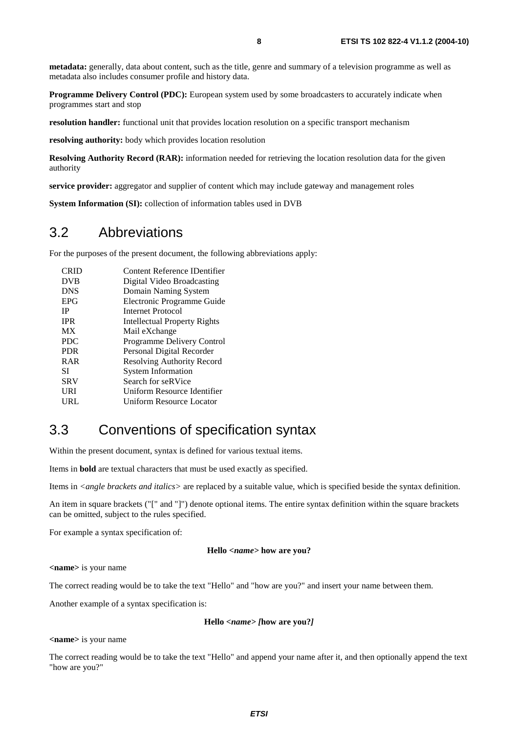**metadata:** generally, data about content, such as the title, genre and summary of a television programme as well as metadata also includes consumer profile and history data.

**Programme Delivery Control (PDC):** European system used by some broadcasters to accurately indicate when programmes start and stop

**resolution handler:** functional unit that provides location resolution on a specific transport mechanism

**resolving authority:** body which provides location resolution

**Resolving Authority Record (RAR):** information needed for retrieving the location resolution data for the given authority

**service provider:** aggregator and supplier of content which may include gateway and management roles

**System Information (SI):** collection of information tables used in DVB

### 3.2 Abbreviations

For the purposes of the present document, the following abbreviations apply:

| CRID       | Content Reference IDentifier |
|------------|------------------------------|
| <b>DVB</b> | Digital Video Broadcasting   |
| <b>DNS</b> | Domain Naming System         |
| <b>EPG</b> | Electronic Programme Guide   |
| <b>IP</b>  | Internet Protocol            |
| <b>IPR</b> | Intellectual Property Rights |
| <b>MX</b>  | Mail eXchange                |
| <b>PDC</b> | Programme Delivery Control   |
| <b>PDR</b> | Personal Digital Recorder    |
| <b>RAR</b> | Resolving Authority Record   |
| SІ         | <b>System Information</b>    |
| <b>SRV</b> | Search for seRVice           |
| URI        | Uniform Resource Identifier  |
| URL        | Uniform Resource Locator     |
|            |                              |

## 3.3 Conventions of specification syntax

Within the present document, syntax is defined for various textual items.

Items in **bold** are textual characters that must be used exactly as specified.

Items in *<angle brackets and italics>* are replaced by a suitable value, which is specified beside the syntax definition.

An item in square brackets ("[" and "]") denote optional items. The entire syntax definition within the square brackets can be omitted, subject to the rules specified.

For example a syntax specification of:

#### **Hello** *<name>* **how are you?**

**<name>** is your name

The correct reading would be to take the text "Hello" and "how are you?" and insert your name between them.

Another example of a syntax specification is:

#### **Hello** *<name> [***how are you?***]*

#### **<name>** is your name

The correct reading would be to take the text "Hello" and append your name after it, and then optionally append the text "how are you?"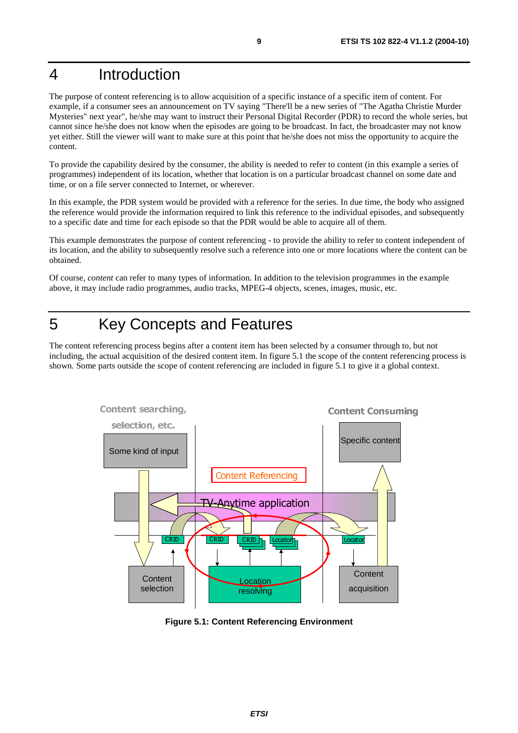# 4 Introduction

The purpose of content referencing is to allow acquisition of a specific instance of a specific item of content. For example, if a consumer sees an announcement on TV saying "There'll be a new series of "The Agatha Christie Murder Mysteries" next year", he/she may want to instruct their Personal Digital Recorder (PDR) to record the whole series, but cannot since he/she does not know when the episodes are going to be broadcast. In fact, the broadcaster may not know yet either. Still the viewer will want to make sure at this point that he/she does not miss the opportunity to acquire the content.

To provide the capability desired by the consumer, the ability is needed to refer to content (in this example a series of programmes) independent of its location, whether that location is on a particular broadcast channel on some date and time, or on a file server connected to Internet, or wherever.

In this example, the PDR system would be provided with a reference for the series. In due time, the body who assigned the reference would provide the information required to link this reference to the individual episodes, and subsequently to a specific date and time for each episode so that the PDR would be able to acquire all of them.

This example demonstrates the purpose of content referencing - to provide the ability to refer to content independent of its location, and the ability to subsequently resolve such a reference into one or more locations where the content can be obtained.

Of course, *content* can refer to many types of information. In addition to the television programmes in the example above, it may include radio programmes, audio tracks, MPEG-4 objects, scenes, images, music, etc.

# 5 Key Concepts and Features

The content referencing process begins after a content item has been selected by a consumer through to, but not including, the actual acquisition of the desired content item. In figure 5.1 the scope of the content referencing process is shown. Some parts outside the scope of content referencing are included in figure 5.1 to give it a global context.



**Figure 5.1: Content Referencing Environment**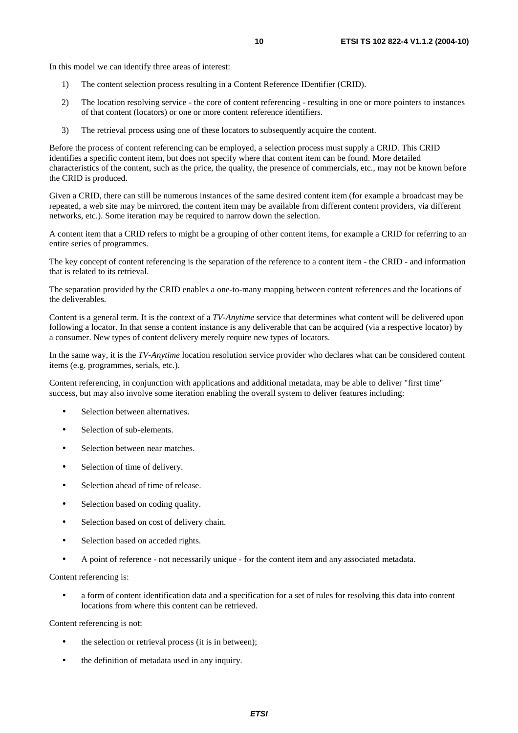- 1) The content selection process resulting in a Content Reference IDentifier (CRID).
- 2) The location resolving service the core of content referencing resulting in one or more pointers to instances of that content (locators) or one or more content reference identifiers.
- 3) The retrieval process using one of these locators to subsequently acquire the content.

Before the process of content referencing can be employed, a selection process must supply a CRID. This CRID identifies a specific content item, but does not specify where that content item can be found. More detailed characteristics of the content, such as the price, the quality, the presence of commercials, etc., may not be known before the CRID is produced.

Given a CRID, there can still be numerous instances of the same desired content item (for example a broadcast may be repeated, a web site may be mirrored, the content item may be available from different content providers, via different networks, etc.). Some iteration may be required to narrow down the selection.

A content item that a CRID refers to might be a grouping of other content items, for example a CRID for referring to an entire series of programmes.

The key concept of content referencing is the separation of the reference to a content item - the CRID - and information that is related to its retrieval.

The separation provided by the CRID enables a one-to-many mapping between content references and the locations of the deliverables.

Content is a general term. It is the context of a *TV-Anytime* service that determines what content will be delivered upon following a locator. In that sense a content instance is any deliverable that can be acquired (via a respective locator) by a consumer. New types of content delivery merely require new types of locators.

In the same way, it is the *TV-Anytime* location resolution service provider who declares what can be considered content items (e.g. programmes, serials, etc.).

Content referencing, in conjunction with applications and additional metadata, may be able to deliver "first time" success, but may also involve some iteration enabling the overall system to deliver features including:

- Selection between alternatives.
- Selection of sub-elements.
- Selection between near matches.
- Selection of time of delivery.
- Selection ahead of time of release.
- Selection based on coding quality.
- Selection based on cost of delivery chain.
- Selection based on acceded rights.
- A point of reference not necessarily unique for the content item and any associated metadata.

Content referencing is:

• a form of content identification data and a specification for a set of rules for resolving this data into content locations from where this content can be retrieved.

Content referencing is not:

- the selection or retrieval process (it is in between);
- the definition of metadata used in any inquiry.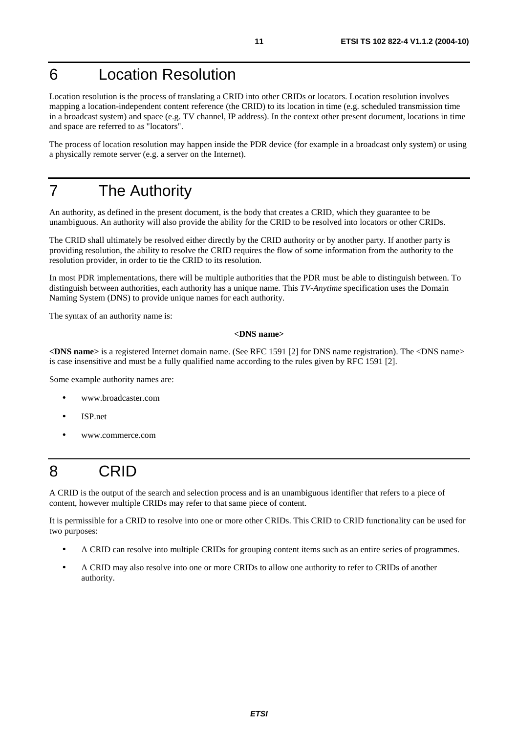# 6 Location Resolution

Location resolution is the process of translating a CRID into other CRIDs or locators. Location resolution involves mapping a location-independent content reference (the CRID) to its location in time (e.g. scheduled transmission time in a broadcast system) and space (e.g. TV channel, IP address). In the context other present document, locations in time and space are referred to as "locators".

The process of location resolution may happen inside the PDR device (for example in a broadcast only system) or using a physically remote server (e.g. a server on the Internet).

## 7 The Authority

An authority, as defined in the present document, is the body that creates a CRID, which they guarantee to be unambiguous. An authority will also provide the ability for the CRID to be resolved into locators or other CRIDs.

The CRID shall ultimately be resolved either directly by the CRID authority or by another party. If another party is providing resolution, the ability to resolve the CRID requires the flow of some information from the authority to the resolution provider, in order to tie the CRID to its resolution.

In most PDR implementations, there will be multiple authorities that the PDR must be able to distinguish between. To distinguish between authorities, each authority has a unique name. This *TV-Anytime* specification uses the Domain Naming System (DNS) to provide unique names for each authority.

The syntax of an authority name is:

#### **<DNS name>**

**<DNS name>** is a registered Internet domain name. (See RFC 1591 [2] for DNS name registration). The <DNS name> is case insensitive and must be a fully qualified name according to the rules given by RFC 1591 [2].

Some example authority names are:

- www.broadcaster.com
- ISP.net
- www.commerce.com

# 8 CRID

A CRID is the output of the search and selection process and is an unambiguous identifier that refers to a piece of content, however multiple CRIDs may refer to that same piece of content.

It is permissible for a CRID to resolve into one or more other CRIDs. This CRID to CRID functionality can be used for two purposes:

- A CRID can resolve into multiple CRIDs for grouping content items such as an entire series of programmes.
- A CRID may also resolve into one or more CRIDs to allow one authority to refer to CRIDs of another authority.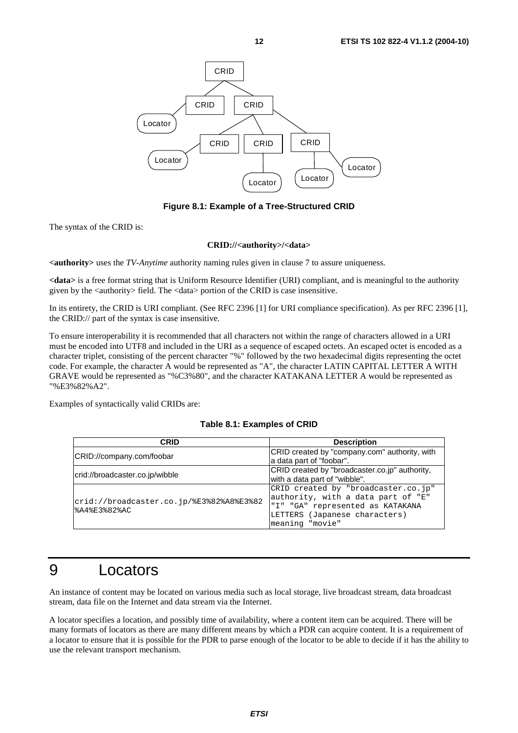

**Figure 8.1: Example of a Tree-Structured CRID** 

The syntax of the CRID is:

#### **CRID://<authority>/<data>**

**<authority>** uses the *TV-Anytime* authority naming rules given in clause 7 to assure uniqueness.

**<data>** is a free format string that is Uniform Resource Identifier (URI) compliant, and is meaningful to the authority given by the  $\langle$  authority $\rangle$  field. The  $\langle$  data $\rangle$  portion of the CRID is case insensitive.

In its entirety, the CRID is URI compliant. (See RFC 2396 [1] for URI compliance specification). As per RFC 2396 [1], the CRID:// part of the syntax is case insensitive.

To ensure interoperability it is recommended that all characters not within the range of characters allowed in a URI must be encoded into UTF8 and included in the URI as a sequence of escaped octets. An escaped octet is encoded as a character triplet, consisting of the percent character "%" followed by the two hexadecimal digits representing the octet code. For example, the character A would be represented as "A", the character LATIN CAPITAL LETTER A WITH GRAVE would be represented as "%C3%80", and the character KATAKANA LETTER A would be represented as "%E3%82%A2".

Examples of syntactically valid CRIDs are:

#### **Table 8.1: Examples of CRID**

| CRID                                     | <b>Description</b>                             |  |
|------------------------------------------|------------------------------------------------|--|
| CRID://company.com/foobar                | CRID created by "company.com" authority, with  |  |
|                                          | a data part of "foobar".                       |  |
| crid://broadcaster.co.jp/wibble          | CRID created by "broadcaster.co.jp" authority, |  |
|                                          | with a data part of "wibble".                  |  |
|                                          | CRID created by "broadcaster.co.jp"            |  |
| crid://broadcaster.co.jp/%E3%82%A8%E3%82 | authority, with a data part of "E"             |  |
| %A4%E3%82%AC                             | "I" "GA" represented as KATAKANA               |  |
|                                          | LETTERS (Japanese characters)                  |  |
|                                          | meaning "movie"                                |  |

### 9 Locators

An instance of content may be located on various media such as local storage, live broadcast stream, data broadcast stream, data file on the Internet and data stream via the Internet.

A locator specifies a location, and possibly time of availability, where a content item can be acquired. There will be many formats of locators as there are many different means by which a PDR can acquire content. It is a requirement of a locator to ensure that it is possible for the PDR to parse enough of the locator to be able to decide if it has the ability to use the relevant transport mechanism.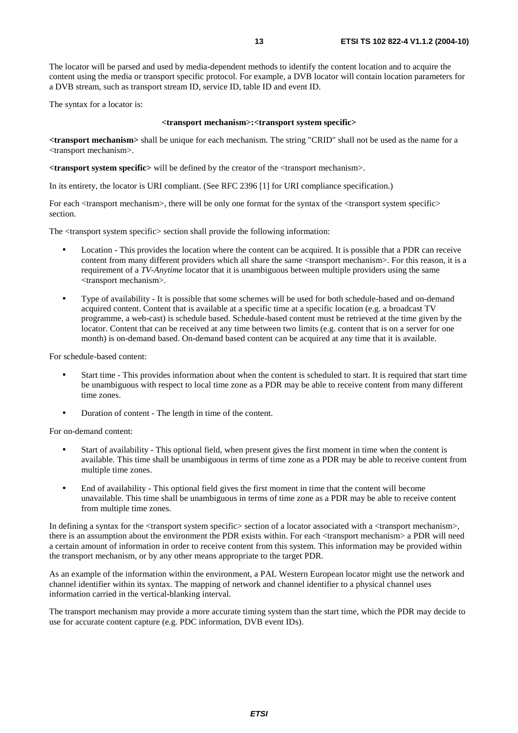The locator will be parsed and used by media-dependent methods to identify the content location and to acquire the content using the media or transport specific protocol. For example, a DVB locator will contain location parameters for a DVB stream, such as transport stream ID, service ID, table ID and event ID.

The syntax for a locator is:

#### **<transport mechanism>:<transport system specific>**

**<transport mechanism>** shall be unique for each mechanism. The string "CRID" shall not be used as the name for a <transport mechanism>.

**<transport system specific>** will be defined by the creator of the <transport mechanism>.

In its entirety, the locator is URI compliant. (See RFC 2396 [1] for URI compliance specification.)

For each  $\langle$ transport mechanism $\rangle$ , there will be only one format for the syntax of the  $\langle$ transport system specific $\rangle$ section.

The <transport system specific> section shall provide the following information:

- Location This provides the location where the content can be acquired. It is possible that a PDR can receive content from many different providers which all share the same <transport mechanism>. For this reason, it is a requirement of a *TV-Anytime* locator that it is unambiguous between multiple providers using the same <transport mechanism>.
- Type of availability It is possible that some schemes will be used for both schedule-based and on-demand acquired content. Content that is available at a specific time at a specific location (e.g. a broadcast TV programme, a web-cast) is schedule based. Schedule-based content must be retrieved at the time given by the locator. Content that can be received at any time between two limits (e.g. content that is on a server for one month) is on-demand based. On-demand based content can be acquired at any time that it is available.

For schedule-based content:

- Start time This provides information about when the content is scheduled to start. It is required that start time be unambiguous with respect to local time zone as a PDR may be able to receive content from many different time zones.
- Duration of content The length in time of the content.

For on-demand content:

- Start of availability This optional field, when present gives the first moment in time when the content is available. This time shall be unambiguous in terms of time zone as a PDR may be able to receive content from multiple time zones.
- End of availability This optional field gives the first moment in time that the content will become unavailable. This time shall be unambiguous in terms of time zone as a PDR may be able to receive content from multiple time zones.

In defining a syntax for the <transport system specific> section of a locator associated with a <transport mechanism>, there is an assumption about the environment the PDR exists within. For each <transport mechanism> a PDR will need a certain amount of information in order to receive content from this system. This information may be provided within the transport mechanism, or by any other means appropriate to the target PDR.

As an example of the information within the environment, a PAL Western European locator might use the network and channel identifier within its syntax. The mapping of network and channel identifier to a physical channel uses information carried in the vertical-blanking interval.

The transport mechanism may provide a more accurate timing system than the start time, which the PDR may decide to use for accurate content capture (e.g. PDC information, DVB event IDs).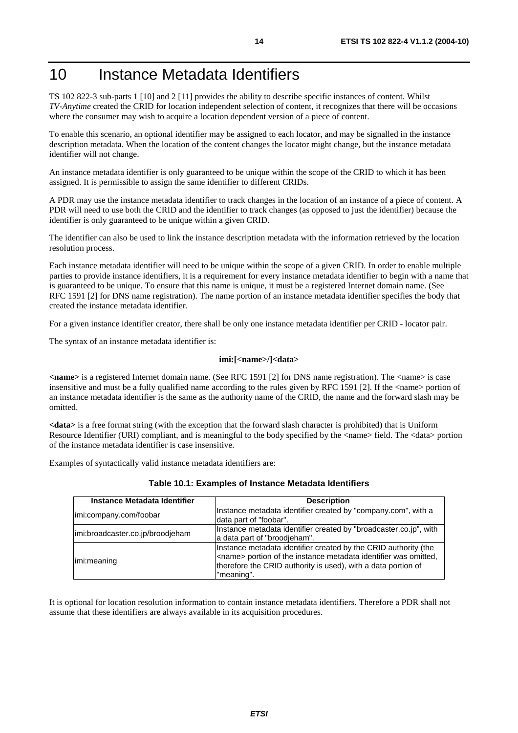# 10 Instance Metadata Identifiers

TS 102 822-3 sub-parts 1 [10] and 2 [11] provides the ability to describe specific instances of content. Whilst *TV-Anytime* created the CRID for location independent selection of content, it recognizes that there will be occasions where the consumer may wish to acquire a location dependent version of a piece of content.

To enable this scenario, an optional identifier may be assigned to each locator, and may be signalled in the instance description metadata. When the location of the content changes the locator might change, but the instance metadata identifier will not change.

An instance metadata identifier is only guaranteed to be unique within the scope of the CRID to which it has been assigned. It is permissible to assign the same identifier to different CRIDs.

A PDR may use the instance metadata identifier to track changes in the location of an instance of a piece of content. A PDR will need to use both the CRID and the identifier to track changes (as opposed to just the identifier) because the identifier is only guaranteed to be unique within a given CRID.

The identifier can also be used to link the instance description metadata with the information retrieved by the location resolution process.

Each instance metadata identifier will need to be unique within the scope of a given CRID. In order to enable multiple parties to provide instance identifiers, it is a requirement for every instance metadata identifier to begin with a name that is guaranteed to be unique. To ensure that this name is unique, it must be a registered Internet domain name. (See RFC 1591 [2] for DNS name registration). The name portion of an instance metadata identifier specifies the body that created the instance metadata identifier.

For a given instance identifier creator, there shall be only one instance metadata identifier per CRID - locator pair.

The syntax of an instance metadata identifier is:

#### **imi:[<name>/]<data>**

**<name>** is a registered Internet domain name. (See RFC 1591 [2] for DNS name registration). The <name> is case insensitive and must be a fully qualified name according to the rules given by RFC 1591 [2]. If the <name> portion of an instance metadata identifier is the same as the authority name of the CRID, the name and the forward slash may be omitted.

**<data>** is a free format string (with the exception that the forward slash character is prohibited) that is Uniform Resource Identifier (URI) compliant, and is meaningful to the body specified by the <name> field. The <data> portion of the instance metadata identifier is case insensitive.

Examples of syntactically valid instance metadata identifiers are:

| Instance Metadata Identifier     | <b>Description</b>                                                                                                                                                                                                         |  |  |
|----------------------------------|----------------------------------------------------------------------------------------------------------------------------------------------------------------------------------------------------------------------------|--|--|
| imi:company.com/foobar           | Instance metadata identifier created by "company.com", with a<br>data part of "foobar".                                                                                                                                    |  |  |
| imi:broadcaster.co.jp/broodjeham | Instance metadata identifier created by "broadcaster.co.jp", with<br>a data part of "broodjeham".                                                                                                                          |  |  |
| imi:meaning                      | Instance metadata identifier created by the CRID authority (the<br><name> portion of the instance metadata identifier was omitted,<br/>therefore the CRID authority is used), with a data portion of<br/>"meaning".</name> |  |  |

#### **Table 10.1: Examples of Instance Metadata Identifiers**

It is optional for location resolution information to contain instance metadata identifiers. Therefore a PDR shall not assume that these identifiers are always available in its acquisition procedures.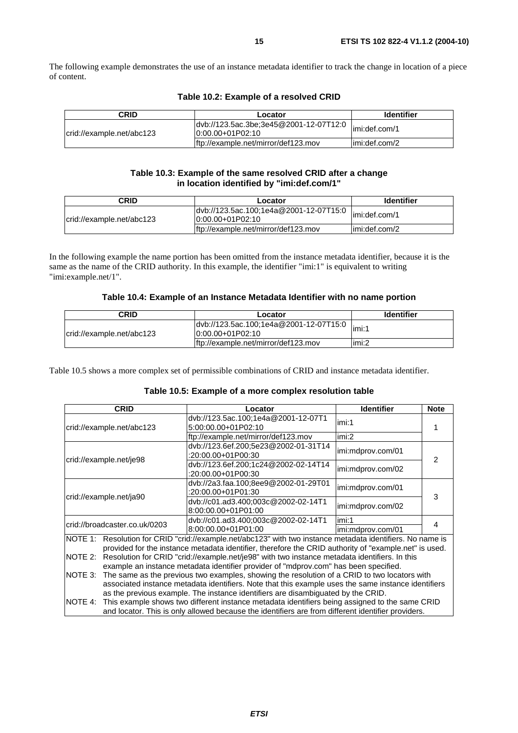The following example demonstrates the use of an instance metadata identifier to track the change in location of a piece of content.

| Table 10.2: Example of a resolved CRID |  |  |  |  |
|----------------------------------------|--|--|--|--|
|----------------------------------------|--|--|--|--|

| <b>CRID</b>               | Locator                                                       | <b>Identifier</b> |
|---------------------------|---------------------------------------------------------------|-------------------|
| crid://example.net/abc123 | dvb://123.5ac.3be;3e45@2001-12-07T12:0<br>$10:00.00+01P02:10$ | imi:def.com/1     |
|                           | ftp://example.net/mirror/def123.mov                           | limi:def.com/2    |

#### **Table 10.3: Example of the same resolved CRID after a change in location identified by "imi:def.com/1"**

| CRID                      | Locator                                                       | <b>Identifier</b> |
|---------------------------|---------------------------------------------------------------|-------------------|
| crid://example.net/abc123 | dvb://123.5ac.100;1e4a@2001-12-07T15:0<br>$10:00.00+01P02:10$ | limi:def.com/1    |
|                           | ftp://example.net/mirror/def123.mov                           | limi:def.com/2    |

In the following example the name portion has been omitted from the instance metadata identifier, because it is the same as the name of the CRID authority. In this example, the identifier "imi:1" is equivalent to writing "imi:example.net/1".

| CRID                      | Locator                                                      | <b>Identifier</b> |
|---------------------------|--------------------------------------------------------------|-------------------|
| crid://example.net/abc123 | dvb://123.5ac.100;1e4a@2001-12-07T15:0<br>$0:00.00+01P02:10$ | limi:1            |
|                           | ftp://example.net/mirror/def123.mov                          | limi:2            |

Table 10.5 shows a more complex set of permissible combinations of CRID and instance metadata identifier.

#### **Table 10.5: Example of a more complex resolution table**

|                                                                                                                                                                                                                                                                                                                                                                                                                         | <b>CRID</b>                                                                                                                                                                                                                                                                             | Locator                                                      | <b>Identifier</b>          | <b>Note</b> |  |
|-------------------------------------------------------------------------------------------------------------------------------------------------------------------------------------------------------------------------------------------------------------------------------------------------------------------------------------------------------------------------------------------------------------------------|-----------------------------------------------------------------------------------------------------------------------------------------------------------------------------------------------------------------------------------------------------------------------------------------|--------------------------------------------------------------|----------------------------|-------------|--|
| crid://example.net/abc123                                                                                                                                                                                                                                                                                                                                                                                               |                                                                                                                                                                                                                                                                                         | dvb://123.5ac.100;1e4a@2001-12-07T1<br>5:00:00.00+01P02:10   | imi:1                      |             |  |
|                                                                                                                                                                                                                                                                                                                                                                                                                         |                                                                                                                                                                                                                                                                                         | ftp://example.net/mirror/def123.mov                          | imi:2                      |             |  |
|                                                                                                                                                                                                                                                                                                                                                                                                                         | crid://example.net/je98                                                                                                                                                                                                                                                                 | dvb://123.6ef.200;5e23@2002-01-31T14<br>:20:00.00+01P00:30   | imi:mdprov.com/01          | 2           |  |
|                                                                                                                                                                                                                                                                                                                                                                                                                         |                                                                                                                                                                                                                                                                                         | dvb://123.6ef.200;1c24@2002-02-14T14<br>$:20:00.00+01P00:30$ | imi:mdprov.com/02          |             |  |
| crid://example.net/ja90                                                                                                                                                                                                                                                                                                                                                                                                 |                                                                                                                                                                                                                                                                                         | dvb://2a3.faa.100;8ee9@2002-01-29T01<br>$:20:00.00+01P01:30$ | imi:mdprov.com/01          | 3           |  |
|                                                                                                                                                                                                                                                                                                                                                                                                                         |                                                                                                                                                                                                                                                                                         | dvb://c01.ad3.400;003c@2002-02-14T1<br>8:00:00.00+01P01:00   | imi:mdprov.com/02          |             |  |
| crid://broadcaster.co.uk/0203                                                                                                                                                                                                                                                                                                                                                                                           |                                                                                                                                                                                                                                                                                         | dvb://c01.ad3.400;003c@2002-02-14T1<br>8:00:00.00+01P01:00   | imi:1<br>imi:mdprov.com/01 | 4           |  |
| NOTE 1: Resolution for CRID "crid://example.net/abc123" with two instance metadata identifiers. No name is<br>provided for the instance metadata identifier, therefore the CRID authority of "example.net" is used.<br>NOTE 2:<br>Resolution for CRID "crid://example.net/je98" with two instance metadata identifiers. In this<br>example an instance metadata identifier provider of "mdprov.com" has been specified. |                                                                                                                                                                                                                                                                                         |                                                              |                            |             |  |
| NOTE 3:                                                                                                                                                                                                                                                                                                                                                                                                                 | The same as the previous two examples, showing the resolution of a CRID to two locators with<br>associated instance metadata identifiers. Note that this example uses the same instance identifiers<br>as the previous example. The instance identifiers are disambiguated by the CRID. |                                                              |                            |             |  |
| NOTE 4:                                                                                                                                                                                                                                                                                                                                                                                                                 | This example shows two different instance metadata identifiers being assigned to the same CRID                                                                                                                                                                                          |                                                              |                            |             |  |

and locator. This is only allowed because the identifiers are from different identifier providers.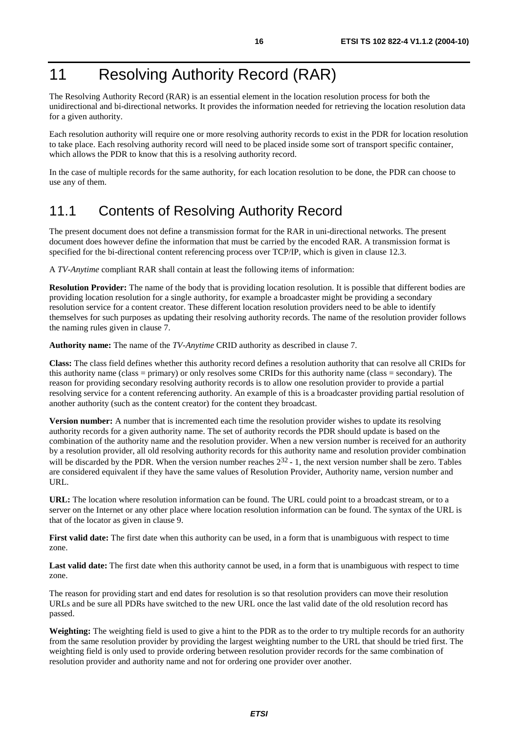# 11 Resolving Authority Record (RAR)

The Resolving Authority Record (RAR) is an essential element in the location resolution process for both the unidirectional and bi-directional networks. It provides the information needed for retrieving the location resolution data for a given authority.

Each resolution authority will require one or more resolving authority records to exist in the PDR for location resolution to take place. Each resolving authority record will need to be placed inside some sort of transport specific container, which allows the PDR to know that this is a resolving authority record.

In the case of multiple records for the same authority, for each location resolution to be done, the PDR can choose to use any of them.

### 11.1 Contents of Resolving Authority Record

The present document does not define a transmission format for the RAR in uni-directional networks. The present document does however define the information that must be carried by the encoded RAR. A transmission format is specified for the bi-directional content referencing process over TCP/IP, which is given in clause 12.3.

A *TV-Anytime* compliant RAR shall contain at least the following items of information:

**Resolution Provider:** The name of the body that is providing location resolution. It is possible that different bodies are providing location resolution for a single authority, for example a broadcaster might be providing a secondary resolution service for a content creator. These different location resolution providers need to be able to identify themselves for such purposes as updating their resolving authority records. The name of the resolution provider follows the naming rules given in clause 7.

**Authority name:** The name of the *TV-Anytime* CRID authority as described in clause 7.

**Class:** The class field defines whether this authority record defines a resolution authority that can resolve all CRIDs for this authority name (class = primary) or only resolves some CRIDs for this authority name (class = secondary). The reason for providing secondary resolving authority records is to allow one resolution provider to provide a partial resolving service for a content referencing authority. An example of this is a broadcaster providing partial resolution of another authority (such as the content creator) for the content they broadcast.

**Version number:** A number that is incremented each time the resolution provider wishes to update its resolving authority records for a given authority name. The set of authority records the PDR should update is based on the combination of the authority name and the resolution provider. When a new version number is received for an authority by a resolution provider, all old resolving authority records for this authority name and resolution provider combination will be discarded by the PDR. When the version number reaches  $2^{32}$  - 1, the next version number shall be zero. Tables are considered equivalent if they have the same values of Resolution Provider, Authority name, version number and URL.

**URL:** The location where resolution information can be found. The URL could point to a broadcast stream, or to a server on the Internet or any other place where location resolution information can be found. The syntax of the URL is that of the locator as given in clause 9.

**First valid date:** The first date when this authority can be used, in a form that is unambiguous with respect to time zone.

Last valid date: The first date when this authority cannot be used, in a form that is unambiguous with respect to time zone.

The reason for providing start and end dates for resolution is so that resolution providers can move their resolution URLs and be sure all PDRs have switched to the new URL once the last valid date of the old resolution record has passed.

**Weighting:** The weighting field is used to give a hint to the PDR as to the order to try multiple records for an authority from the same resolution provider by providing the largest weighting number to the URL that should be tried first. The weighting field is only used to provide ordering between resolution provider records for the same combination of resolution provider and authority name and not for ordering one provider over another.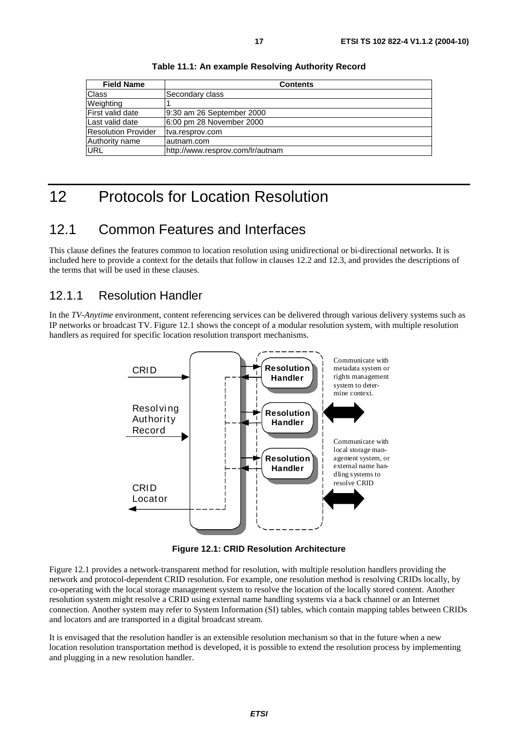| <b>Field Name</b>          | <b>Contents</b>                  |  |
|----------------------------|----------------------------------|--|
| Class                      | Secondary class                  |  |
| Weighting                  |                                  |  |
| First valid date           | 9:30 am 26 September 2000        |  |
| Last valid date            | 6:00 pm 28 November 2000         |  |
| <b>Resolution Provider</b> | tva.resprov.com                  |  |
| Authority name             | lautnam.com                      |  |
| <b>URL</b>                 | http://www.resprov.com/lr/autnam |  |

**Table 11.1: An example Resolving Authority Record** 

# 12 Protocols for Location Resolution

### 12.1 Common Features and Interfaces

This clause defines the features common to location resolution using unidirectional or bi-directional networks. It is included here to provide a context for the details that follow in clauses 12.2 and 12.3, and provides the descriptions of the terms that will be used in these clauses.

### 12.1.1 Resolution Handler

In the *TV-Anytime* environment, content referencing services can be delivered through various delivery systems such as IP networks or broadcast TV. Figure 12.1 shows the concept of a modular resolution system, with multiple resolution handlers as required for specific location resolution transport mechanisms.



**Figure 12.1: CRID Resolution Architecture** 

Figure 12.1 provides a network-transparent method for resolution, with multiple resolution handlers providing the network and protocol-dependent CRID resolution. For example, one resolution method is resolving CRIDs locally, by co-operating with the local storage management system to resolve the location of the locally stored content. Another resolution system might resolve a CRID using external name handling systems via a back channel or an Internet connection. Another system may refer to System Information (SI) tables, which contain mapping tables between CRIDs and locators and are transported in a digital broadcast stream.

It is envisaged that the resolution handler is an extensible resolution mechanism so that in the future when a new location resolution transportation method is developed, it is possible to extend the resolution process by implementing and plugging in a new resolution handler.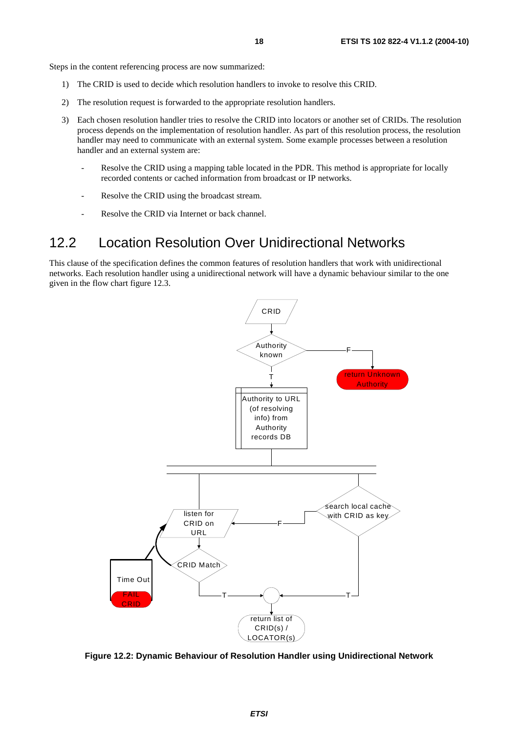Steps in the content referencing process are now summarized:

- 1) The CRID is used to decide which resolution handlers to invoke to resolve this CRID.
- 2) The resolution request is forwarded to the appropriate resolution handlers.
- 3) Each chosen resolution handler tries to resolve the CRID into locators or another set of CRIDs. The resolution process depends on the implementation of resolution handler. As part of this resolution process, the resolution handler may need to communicate with an external system. Some example processes between a resolution handler and an external system are:
	- Resolve the CRID using a mapping table located in the PDR. This method is appropriate for locally recorded contents or cached information from broadcast or IP networks.
	- Resolve the CRID using the broadcast stream.
	- Resolve the CRID via Internet or back channel.

### 12.2 Location Resolution Over Unidirectional Networks

This clause of the specification defines the common features of resolution handlers that work with unidirectional networks. Each resolution handler using a unidirectional network will have a dynamic behaviour similar to the one given in the flow chart figure 12.3.



**Figure 12.2: Dynamic Behaviour of Resolution Handler using Unidirectional Network**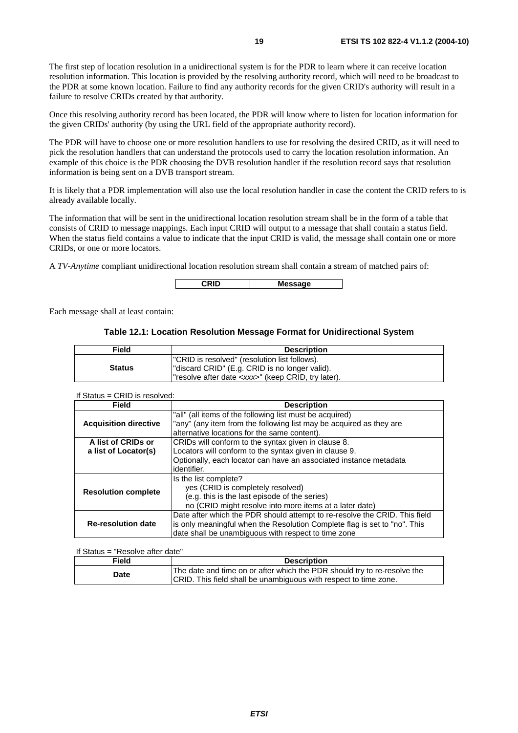The first step of location resolution in a unidirectional system is for the PDR to learn where it can receive location resolution information. This location is provided by the resolving authority record, which will need to be broadcast to the PDR at some known location. Failure to find any authority records for the given CRID's authority will result in a failure to resolve CRIDs created by that authority.

Once this resolving authority record has been located, the PDR will know where to listen for location information for the given CRIDs' authority (by using the URL field of the appropriate authority record).

The PDR will have to choose one or more resolution handlers to use for resolving the desired CRID, as it will need to pick the resolution handlers that can understand the protocols used to carry the location resolution information. An example of this choice is the PDR choosing the DVB resolution handler if the resolution record says that resolution information is being sent on a DVB transport stream.

It is likely that a PDR implementation will also use the local resolution handler in case the content the CRID refers to is already available locally.

The information that will be sent in the unidirectional location resolution stream shall be in the form of a table that consists of CRID to message mappings. Each input CRID will output to a message that shall contain a status field. When the status field contains a value to indicate that the input CRID is valid, the message shall contain one or more CRIDs, or one or more locators.

A *TV-Anytime* compliant unidirectional location resolution stream shall contain a stream of matched pairs of:

**CRID Message** 

Each message shall at least contain:

#### **Table 12.1: Location Resolution Message Format for Unidirectional System**

| Field         | <b>Description</b>                                                                                                                                           |
|---------------|--------------------------------------------------------------------------------------------------------------------------------------------------------------|
| <b>Status</b> | "CRID is resolved" (resolution list follows).<br>"discard CRID" (E.g. CRID is no longer valid).<br>l"resolve after date <xxx>" (keep CRID, try later).</xxx> |

### If Status = CRID is resolved:

| <b>Field</b>                 | <b>Description</b>                                                         |
|------------------------------|----------------------------------------------------------------------------|
|                              | "all" (all items of the following list must be acquired)                   |
| <b>Acquisition directive</b> | "any" (any item from the following list may be acquired as they are        |
|                              | alternative locations for the same content).                               |
| A list of CRIDs or           | CRIDs will conform to the syntax given in clause 8.                        |
| a list of Locator(s)         | Locators will conform to the syntax given in clause 9.                     |
|                              | Optionally, each locator can have an associated instance metadata          |
|                              | identifier.                                                                |
|                              | Is the list complete?                                                      |
| <b>Resolution complete</b>   | yes (CRID is completely resolved)                                          |
|                              | (e.g. this is the last episode of the series)                              |
|                              | no (CRID might resolve into more items at a later date)                    |
| <b>Re-resolution date</b>    | Date after which the PDR should attempt to re-resolve the CRID. This field |
|                              | is only meaningful when the Resolution Complete flag is set to "no". This  |
|                              | date shall be unambiguous with respect to time zone                        |

#### If Status = "Resolve after date"

| <b>Field</b> | <b>Description</b>                                                                                                                           |
|--------------|----------------------------------------------------------------------------------------------------------------------------------------------|
| Date         | The date and time on or after which the PDR should try to re-resolve the<br>CRID. This field shall be unambiguous with respect to time zone. |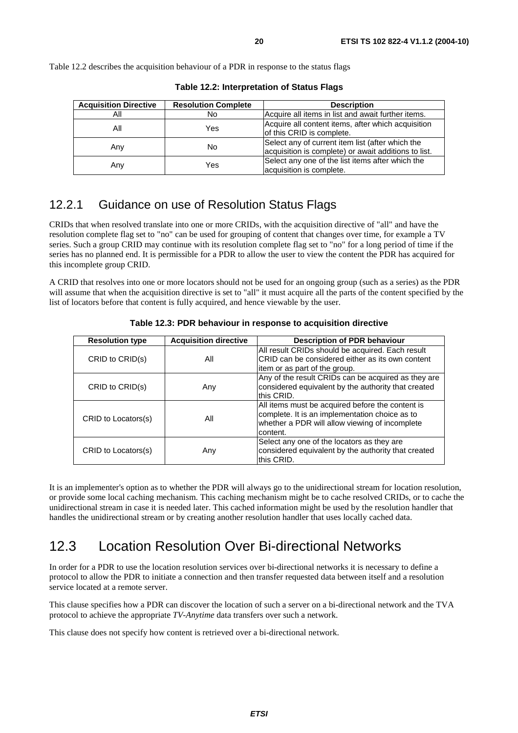Table 12.2 describes the acquisition behaviour of a PDR in response to the status flags

| <b>Acquisition Directive</b> | <b>Resolution Complete</b> | <b>Description</b>                                                                                       |
|------------------------------|----------------------------|----------------------------------------------------------------------------------------------------------|
| All                          | No                         | Acquire all items in list and await further items.                                                       |
| All                          | Yes                        | Acquire all content items, after which acquisition<br>of this CRID is complete.                          |
| Any                          | No                         | Select any of current item list (after which the<br>acquisition is complete) or await additions to list. |
| Any                          | Yes                        | Select any one of the list items after which the<br>acquisition is complete.                             |

**Table 12.2: Interpretation of Status Flags** 

### 12.2.1 Guidance on use of Resolution Status Flags

CRIDs that when resolved translate into one or more CRIDs, with the acquisition directive of "all" and have the resolution complete flag set to "no" can be used for grouping of content that changes over time, for example a TV series. Such a group CRID may continue with its resolution complete flag set to "no" for a long period of time if the series has no planned end. It is permissible for a PDR to allow the user to view the content the PDR has acquired for this incomplete group CRID.

A CRID that resolves into one or more locators should not be used for an ongoing group (such as a series) as the PDR will assume that when the acquisition directive is set to "all" it must acquire all the parts of the content specified by the list of locators before that content is fully acquired, and hence viewable by the user.

| <b>Resolution type</b> | <b>Acquisition directive</b> | <b>Description of PDR behaviour</b>                                                                                                                              |
|------------------------|------------------------------|------------------------------------------------------------------------------------------------------------------------------------------------------------------|
| CRID to CRID(s)        | All                          | All result CRIDs should be acquired. Each result<br>CRID can be considered either as its own content<br>litem or as part of the group.                           |
| CRID to CRID(s)        | Any                          | Any of the result CRIDs can be acquired as they are<br>considered equivalent by the authority that created<br>this CRID.                                         |
| CRID to Locators(s)    | All                          | All items must be acquired before the content is<br>complete. It is an implementation choice as to<br>whether a PDR will allow viewing of incomplete<br>content. |
| CRID to Locators(s)    | Any                          | Select any one of the locators as they are<br>considered equivalent by the authority that created<br>this CRID.                                                  |

**Table 12.3: PDR behaviour in response to acquisition directive** 

It is an implementer's option as to whether the PDR will always go to the unidirectional stream for location resolution, or provide some local caching mechanism. This caching mechanism might be to cache resolved CRIDs, or to cache the unidirectional stream in case it is needed later. This cached information might be used by the resolution handler that handles the unidirectional stream or by creating another resolution handler that uses locally cached data.

### 12.3 Location Resolution Over Bi-directional Networks

In order for a PDR to use the location resolution services over bi-directional networks it is necessary to define a protocol to allow the PDR to initiate a connection and then transfer requested data between itself and a resolution service located at a remote server.

This clause specifies how a PDR can discover the location of such a server on a bi-directional network and the TVA protocol to achieve the appropriate *TV-Anytime* data transfers over such a network.

This clause does not specify how content is retrieved over a bi-directional network.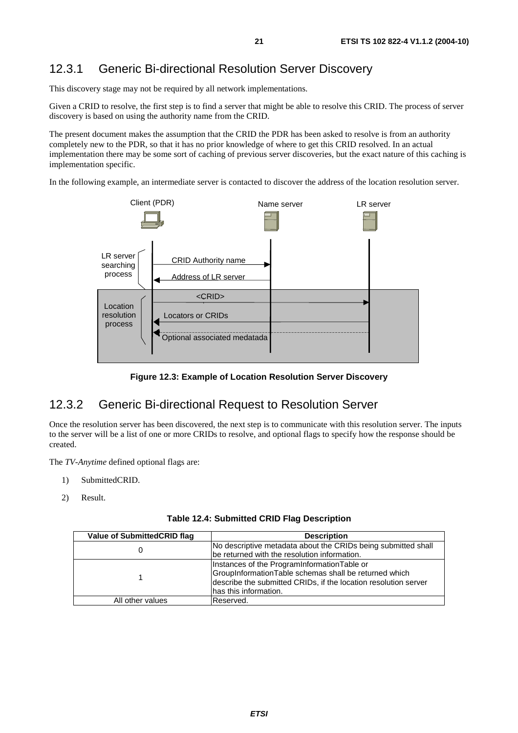### 12.3.1 Generic Bi-directional Resolution Server Discovery

This discovery stage may not be required by all network implementations.

Given a CRID to resolve, the first step is to find a server that might be able to resolve this CRID. The process of server discovery is based on using the authority name from the CRID.

The present document makes the assumption that the CRID the PDR has been asked to resolve is from an authority completely new to the PDR, so that it has no prior knowledge of where to get this CRID resolved. In an actual implementation there may be some sort of caching of previous server discoveries, but the exact nature of this caching is implementation specific.

In the following example, an intermediate server is contacted to discover the address of the location resolution server.



**Figure 12.3: Example of Location Resolution Server Discovery** 

### 12.3.2 Generic Bi-directional Request to Resolution Server

Once the resolution server has been discovered, the next step is to communicate with this resolution server. The inputs to the server will be a list of one or more CRIDs to resolve, and optional flags to specify how the response should be created.

The *TV-Anytime* defined optional flags are:

- 1) SubmittedCRID.
- 2) Result.

| <b>Value of SubmittedCRID flag</b> | <b>Description</b>                                              |
|------------------------------------|-----------------------------------------------------------------|
|                                    | No descriptive metadata about the CRIDs being submitted shall   |
|                                    | be returned with the resolution information.                    |
|                                    | Instances of the ProgramInformationTable or                     |
|                                    | GroupInformationTable schemas shall be returned which           |
|                                    | describe the submitted CRIDs, if the location resolution server |
|                                    | has this information.                                           |
| All other values                   | lReserved.                                                      |
|                                    |                                                                 |

**Table 12.4: Submitted CRID Flag Description**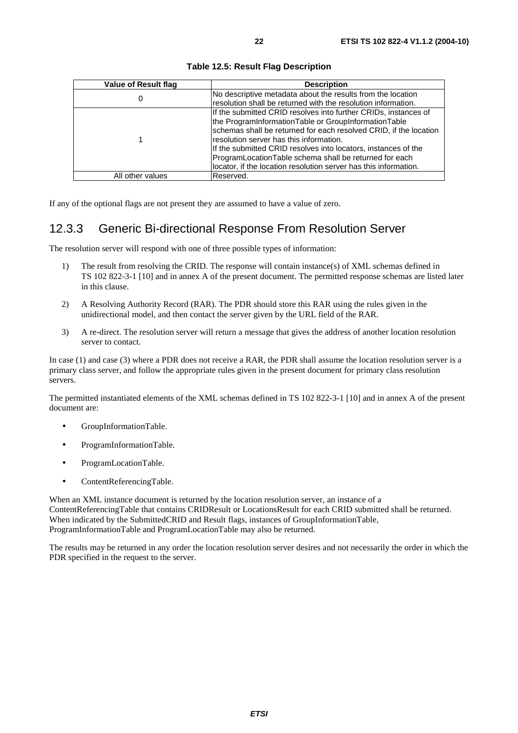| Value of Result flag | <b>Description</b>                                                |
|----------------------|-------------------------------------------------------------------|
| 0                    | No descriptive metadata about the results from the location       |
|                      | resolution shall be returned with the resolution information.     |
|                      | If the submitted CRID resolves into further CRIDs, instances of   |
|                      | the ProgramInformationTable or GroupInformationTable              |
|                      | schemas shall be returned for each resolved CRID, if the location |
|                      | resolution server has this information.                           |
|                      | If the submitted CRID resolves into locators, instances of the    |
|                      | ProgramLocationTable schema shall be returned for each            |
|                      | locator, if the location resolution server has this information.  |
| All other values     | Reserved.                                                         |

**Table 12.5: Result Flag Description**

If any of the optional flags are not present they are assumed to have a value of zero.

### 12.3.3 Generic Bi-directional Response From Resolution Server

The resolution server will respond with one of three possible types of information:

- 1) The result from resolving the CRID. The response will contain instance(s) of XML schemas defined in TS 102 822-3-1 [10] and in annex A of the present document. The permitted response schemas are listed later in this clause.
- 2) A Resolving Authority Record (RAR). The PDR should store this RAR using the rules given in the unidirectional model, and then contact the server given by the URL field of the RAR.
- 3) A re-direct. The resolution server will return a message that gives the address of another location resolution server to contact.

In case (1) and case (3) where a PDR does not receive a RAR, the PDR shall assume the location resolution server is a primary class server, and follow the appropriate rules given in the present document for primary class resolution servers.

The permitted instantiated elements of the XML schemas defined in TS 102 822-3-1 [10] and in annex A of the present document are:

- GroupInformationTable.
- ProgramInformationTable.
- ProgramLocationTable.
- ContentReferencingTable.

When an XML instance document is returned by the location resolution server, an instance of a ContentReferencingTable that contains CRIDResult or LocationsResult for each CRID submitted shall be returned. When indicated by the SubmittedCRID and Result flags, instances of GroupInformationTable, ProgramInformationTable and ProgramLocationTable may also be returned.

The results may be returned in any order the location resolution server desires and not necessarily the order in which the PDR specified in the request to the server.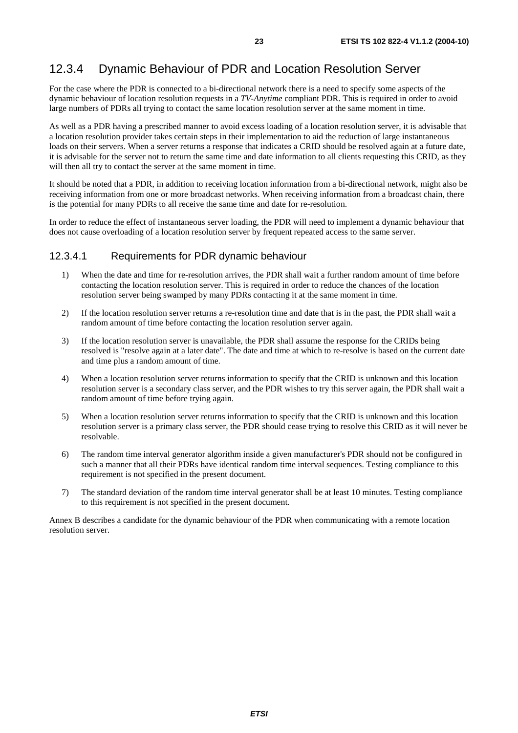### 12.3.4 Dynamic Behaviour of PDR and Location Resolution Server

For the case where the PDR is connected to a bi-directional network there is a need to specify some aspects of the dynamic behaviour of location resolution requests in a *TV-Anytime* compliant PDR. This is required in order to avoid large numbers of PDRs all trying to contact the same location resolution server at the same moment in time.

As well as a PDR having a prescribed manner to avoid excess loading of a location resolution server, it is advisable that a location resolution provider takes certain steps in their implementation to aid the reduction of large instantaneous loads on their servers. When a server returns a response that indicates a CRID should be resolved again at a future date, it is advisable for the server not to return the same time and date information to all clients requesting this CRID, as they will then all try to contact the server at the same moment in time.

It should be noted that a PDR, in addition to receiving location information from a bi-directional network, might also be receiving information from one or more broadcast networks. When receiving information from a broadcast chain, there is the potential for many PDRs to all receive the same time and date for re-resolution.

In order to reduce the effect of instantaneous server loading, the PDR will need to implement a dynamic behaviour that does not cause overloading of a location resolution server by frequent repeated access to the same server.

#### 12.3.4.1 Requirements for PDR dynamic behaviour

- 1) When the date and time for re-resolution arrives, the PDR shall wait a further random amount of time before contacting the location resolution server. This is required in order to reduce the chances of the location resolution server being swamped by many PDRs contacting it at the same moment in time.
- 2) If the location resolution server returns a re-resolution time and date that is in the past, the PDR shall wait a random amount of time before contacting the location resolution server again.
- 3) If the location resolution server is unavailable, the PDR shall assume the response for the CRIDs being resolved is "resolve again at a later date". The date and time at which to re-resolve is based on the current date and time plus a random amount of time.
- 4) When a location resolution server returns information to specify that the CRID is unknown and this location resolution server is a secondary class server, and the PDR wishes to try this server again, the PDR shall wait a random amount of time before trying again.
- 5) When a location resolution server returns information to specify that the CRID is unknown and this location resolution server is a primary class server, the PDR should cease trying to resolve this CRID as it will never be resolvable.
- 6) The random time interval generator algorithm inside a given manufacturer's PDR should not be configured in such a manner that all their PDRs have identical random time interval sequences. Testing compliance to this requirement is not specified in the present document.
- 7) The standard deviation of the random time interval generator shall be at least 10 minutes. Testing compliance to this requirement is not specified in the present document.

Annex B describes a candidate for the dynamic behaviour of the PDR when communicating with a remote location resolution server.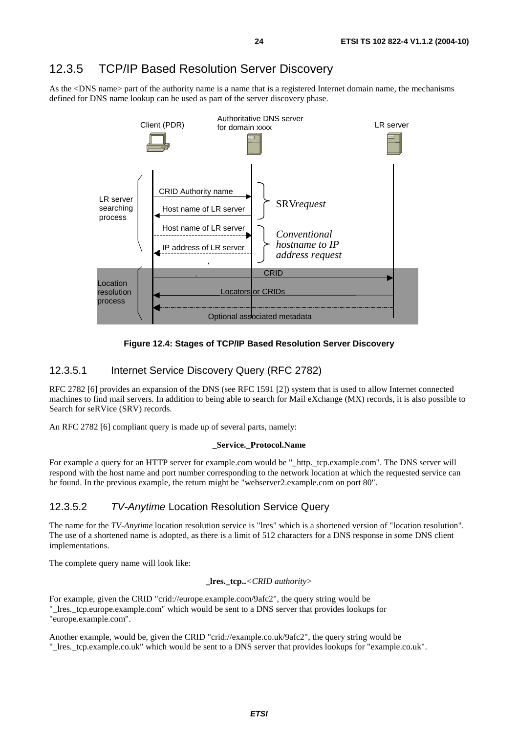### 12.3.5 TCP/IP Based Resolution Server Discovery

As the <DNS name> part of the authority name is a name that is a registered Internet domain name, the mechanisms defined for DNS name lookup can be used as part of the server discovery phase.



**Figure 12.4: Stages of TCP/IP Based Resolution Server Discovery** 

#### 12.3.5.1 Internet Service Discovery Query (RFC 2782)

RFC 2782 [6] provides an expansion of the DNS (see RFC 1591 [2]) system that is used to allow Internet connected machines to find mail servers. In addition to being able to search for Mail eXchange (MX) records, it is also possible to Search for seRVice (SRV) records.

An RFC 2782 [6] compliant query is made up of several parts, namely:

#### **\_Service.\_Protocol.Name**

For example a query for an HTTP server for example.com would be "\_http.\_tcp.example.com". The DNS server will respond with the host name and port number corresponding to the network location at which the requested service can be found. In the previous example, the return might be "webserver2.example.com on port 80".

### 12.3.5.2 TV-Anytime Location Resolution Service Query

The name for the *TV-Anytime* location resolution service is "lres" which is a shortened version of "location resolution". The use of a shortened name is adopted, as there is a limit of 512 characters for a DNS response in some DNS client implementations.

The complete query name will look like:

#### **\_lres.\_tcp..***<CRID authority>*

For example, given the CRID "crid://europe.example.com/9afc2", the query string would be "\_lres.\_tcp.europe.example.com" which would be sent to a DNS server that provides lookups for "europe.example.com".

Another example, would be, given the CRID "crid://example.co.uk/9afc2", the query string would be "\_lres.\_tcp.example.co.uk" which would be sent to a DNS server that provides lookups for "example.co.uk".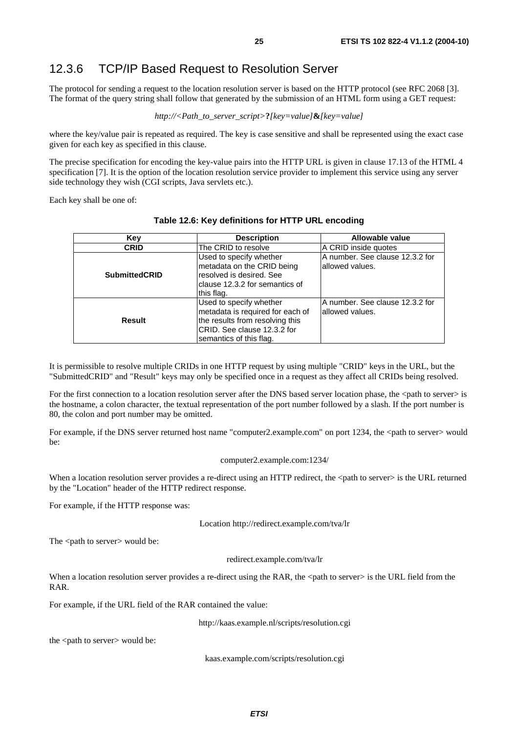### 12.3.6 TCP/IP Based Request to Resolution Server

The protocol for sending a request to the location resolution server is based on the HTTP protocol (see RFC 2068 [3]. The format of the query string shall follow that generated by the submission of an HTML form using a GET request:

#### *http://<Path\_to\_server\_script>***?***[key=value]***&***[key=value]*

where the key/value pair is repeated as required. The key is case sensitive and shall be represented using the exact case given for each key as specified in this clause.

The precise specification for encoding the key-value pairs into the HTTP URL is given in clause 17.13 of the HTML 4 specification [7]. It is the option of the location resolution service provider to implement this service using any server side technology they wish (CGI scripts, Java servlets etc.).

Each key shall be one of:

| Key                  | <b>Description</b>                                                                                                                                       | Allowable value                                      |
|----------------------|----------------------------------------------------------------------------------------------------------------------------------------------------------|------------------------------------------------------|
| <b>CRID</b>          | The CRID to resolve                                                                                                                                      | A CRID inside quotes                                 |
| <b>SubmittedCRID</b> | Used to specify whether<br>metadata on the CRID being<br>resolved is desired. See<br>clause 12.3.2 for semantics of<br>this flag.                        | A number. See clause 12.3.2 for<br>lallowed values.  |
| Result               | Used to specify whether<br>metadata is required for each of<br>the results from resolving this<br>CRID. See clause 12.3.2 for<br>semantics of this flag. | IA number. See clause 12.3.2 for<br>lallowed values. |

#### **Table 12.6: Key definitions for HTTP URL encoding**

It is permissible to resolve multiple CRIDs in one HTTP request by using multiple "CRID" keys in the URL, but the "SubmittedCRID" and "Result" keys may only be specified once in a request as they affect all CRIDs being resolved.

For the first connection to a location resolution server after the DNS based server location phase, the <path to server> is the hostname, a colon character, the textual representation of the port number followed by a slash. If the port number is 80, the colon and port number may be omitted.

For example, if the DNS server returned host name "computer2.example.com" on port 1234, the <path to server> would be:

#### computer2.example.com:1234/

When a location resolution server provides a re-direct using an HTTP redirect, the <path to server> is the URL returned by the "Location" header of the HTTP redirect response.

For example, if the HTTP response was:

Location http://redirect.example.com/tva/lr

The <path to server> would be:

redirect.example.com/tva/lr

When a location resolution server provides a re-direct using the RAR, the  $\langle$  path to server $\rangle$  is the URL field from the RAR.

For example, if the URL field of the RAR contained the value:

http://kaas.example.nl/scripts/resolution.cgi

the <path to server> would be:

kaas.example.com/scripts/resolution.cgi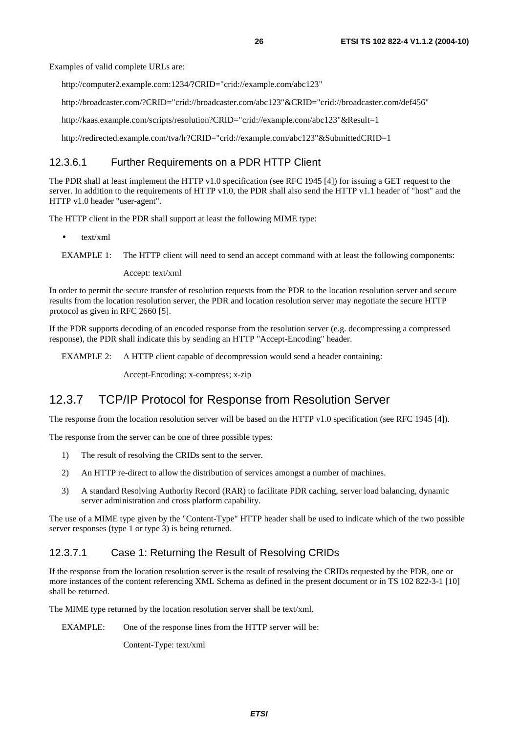Examples of valid complete URLs are:

http://computer2.example.com:1234/?CRID="crid://example.com/abc123"

http://broadcaster.com/?CRID="crid://broadcaster.com/abc123"&CRID="crid://broadcaster.com/def456"

http://kaas.example.com/scripts/resolution?CRID="crid://example.com/abc123"&Result=1

http://redirected.example.com/tva/lr?CRID="crid://example.com/abc123"&SubmittedCRID=1

#### 12.3.6.1 Further Requirements on a PDR HTTP Client

The PDR shall at least implement the HTTP v1.0 specification (see RFC 1945 [4]) for issuing a GET request to the server. In addition to the requirements of HTTP v1.0, the PDR shall also send the HTTP v1.1 header of "host" and the HTTP v1.0 header "user-agent".

The HTTP client in the PDR shall support at least the following MIME type:

• text/xml

```
EXAMPLE 1: The HTTP client will need to send an accept command with at least the following components:
```
Accept: text/xml

In order to permit the secure transfer of resolution requests from the PDR to the location resolution server and secure results from the location resolution server, the PDR and location resolution server may negotiate the secure HTTP protocol as given in RFC 2660 [5].

If the PDR supports decoding of an encoded response from the resolution server (e.g. decompressing a compressed response), the PDR shall indicate this by sending an HTTP "Accept-Encoding" header.

EXAMPLE 2: A HTTP client capable of decompression would send a header containing:

Accept-Encoding: x-compress; x-zip

### 12.3.7 TCP/IP Protocol for Response from Resolution Server

The response from the location resolution server will be based on the HTTP v1.0 specification (see RFC 1945 [4]).

The response from the server can be one of three possible types:

- 1) The result of resolving the CRIDs sent to the server.
- 2) An HTTP re-direct to allow the distribution of services amongst a number of machines.
- 3) A standard Resolving Authority Record (RAR) to facilitate PDR caching, server load balancing, dynamic server administration and cross platform capability.

The use of a MIME type given by the "Content-Type" HTTP header shall be used to indicate which of the two possible server responses (type 1 or type 3) is being returned.

#### 12.3.7.1 Case 1: Returning the Result of Resolving CRIDs

If the response from the location resolution server is the result of resolving the CRIDs requested by the PDR, one or more instances of the content referencing XML Schema as defined in the present document or in TS 102 822-3-1 [10] shall be returned.

The MIME type returned by the location resolution server shall be text/xml.

EXAMPLE: One of the response lines from the HTTP server will be:

Content-Type: text/xml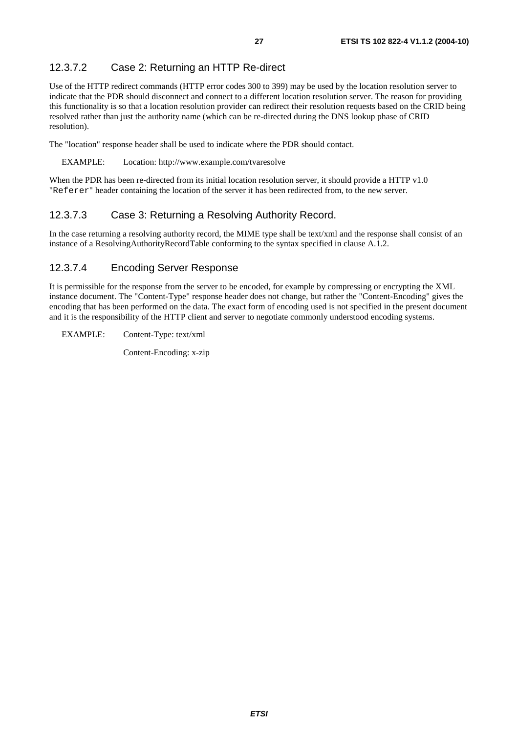### 12.3.7.2 Case 2: Returning an HTTP Re-direct

Use of the HTTP redirect commands (HTTP error codes 300 to 399) may be used by the location resolution server to indicate that the PDR should disconnect and connect to a different location resolution server. The reason for providing this functionality is so that a location resolution provider can redirect their resolution requests based on the CRID being resolved rather than just the authority name (which can be re-directed during the DNS lookup phase of CRID resolution).

The "location" response header shall be used to indicate where the PDR should contact.

#### EXAMPLE: Location: http://www.example.com/tvaresolve

When the PDR has been re-directed from its initial location resolution server, it should provide a HTTP v1.0 "Referer" header containing the location of the server it has been redirected from, to the new server.

#### 12.3.7.3 Case 3: Returning a Resolving Authority Record.

In the case returning a resolving authority record, the MIME type shall be text/xml and the response shall consist of an instance of a ResolvingAuthorityRecordTable conforming to the syntax specified in clause A.1.2.

#### 12.3.7.4 Encoding Server Response

It is permissible for the response from the server to be encoded, for example by compressing or encrypting the XML instance document. The "Content-Type" response header does not change, but rather the "Content-Encoding" gives the encoding that has been performed on the data. The exact form of encoding used is not specified in the present document and it is the responsibility of the HTTP client and server to negotiate commonly understood encoding systems.

#### EXAMPLE: Content-Type: text/xml

Content-Encoding: x-zip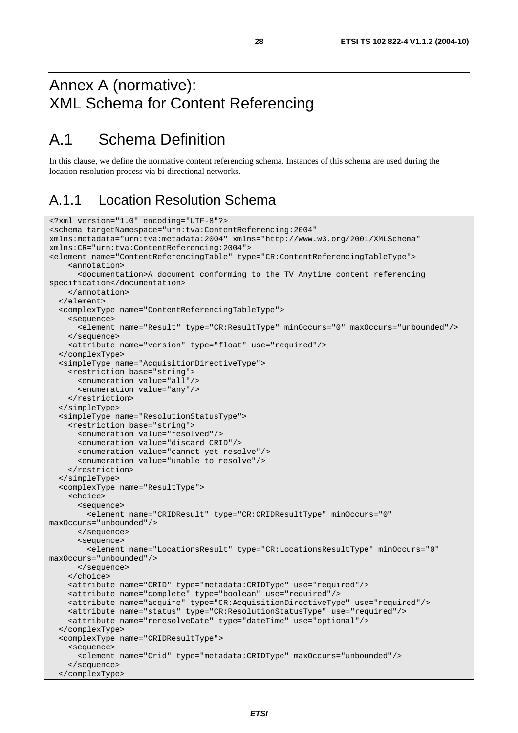# Annex A (normative): XML Schema for Content Referencing

# A.1 Schema Definition

In this clause, we define the normative content referencing schema. Instances of this schema are used during the location resolution process via bi-directional networks.

### A.1.1 Location Resolution Schema

```
<?xml version="1.0" encoding="UTF-8"?> 
<schema targetNamespace="urn:tva:ContentReferencing:2004" 
xmlns:metadata="urn:tva:metadata:2004" xmlns="http://www.w3.org/2001/XMLSchema" 
xmlns:CR="urn:tva:ContentReferencing:2004"> 
<element name="ContentReferencingTable" type="CR:ContentReferencingTableType"> 
     <annotation> 
       <documentation>A document conforming to the TV Anytime content referencing 
specification</documentation> 
     </annotation> 
   </element> 
   <complexType name="ContentReferencingTableType"> 
     <sequence> 
       <element name="Result" type="CR:ResultType" minOccurs="0" maxOccurs="unbounded"/> 
     </sequence> 
     <attribute name="version" type="float" use="required"/> 
   </complexType> 
   <simpleType name="AcquisitionDirectiveType"> 
     <restriction base="string"> 
       <enumeration value="all"/> 
       <enumeration value="any"/> 
     </restriction> 
   </simpleType> 
   <simpleType name="ResolutionStatusType"> 
     <restriction base="string"> 
       <enumeration value="resolved"/> 
       <enumeration value="discard CRID"/> 
       <enumeration value="cannot yet resolve"/> 
       <enumeration value="unable to resolve"/> 
     </restriction> 
   </simpleType> 
   <complexType name="ResultType"> 
     <choice> 
       <sequence> 
         <element name="CRIDResult" type="CR:CRIDResultType" minOccurs="0" 
maxOccurs="unbounded"/> 
       </sequence> 
       <sequence> 
         <element name="LocationsResult" type="CR:LocationsResultType" minOccurs="0" 
maxOccurs="unbounded"/> 
       </sequence> 
     </choice> 
     <attribute name="CRID" type="metadata:CRIDType" use="required"/> 
     <attribute name="complete" type="boolean" use="required"/> 
     <attribute name="acquire" type="CR:AcquisitionDirectiveType" use="required"/> 
     <attribute name="status" type="CR:ResolutionStatusType" use="required"/> 
     <attribute name="reresolveDate" type="dateTime" use="optional"/> 
   </complexType> 
   <complexType name="CRIDResultType"> 
     <sequence> 
       <element name="Crid" type="metadata:CRIDType" maxOccurs="unbounded"/> 
     </sequence> 
   </complexType>
```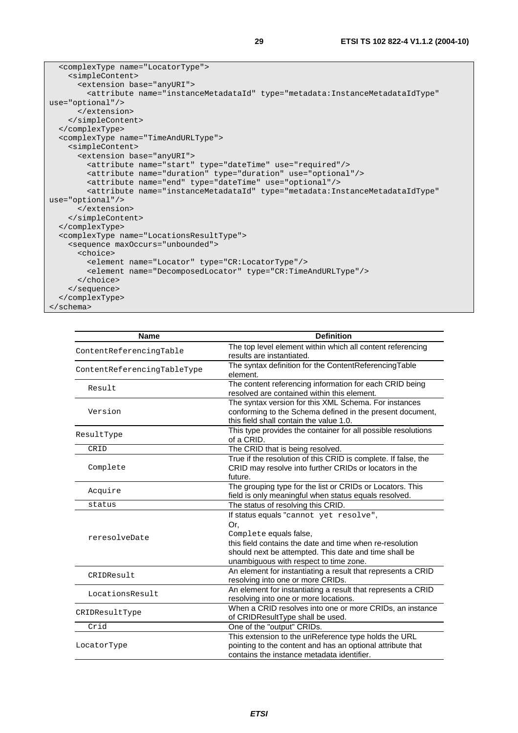```
 <complexType name="LocatorType"> 
     <simpleContent> 
       <extension base="anyURI"> 
         <attribute name="instanceMetadataId" type="metadata:InstanceMetadataIdType" 
use="optional"/> 
       </extension> 
     </simpleContent> 
   </complexType> 
   <complexType name="TimeAndURLType"> 
     <simpleContent> 
       <extension base="anyURI"> 
         <attribute name="start" type="dateTime" use="required"/> 
         <attribute name="duration" type="duration" use="optional"/> 
         <attribute name="end" type="dateTime" use="optional"/> 
         <attribute name="instanceMetadataId" type="metadata:InstanceMetadataIdType" 
use="optional"/> 
       </extension> 
     </simpleContent> 
   </complexType> 
   <complexType name="LocationsResultType"> 
     <sequence maxOccurs="unbounded"> 
       <choice> 
         <element name="Locator" type="CR:LocatorType"/> 
         <element name="DecomposedLocator" type="CR:TimeAndURLType"/> 
       </choice> 
     </sequence> 
   </complexType> 
</schema>
```

| <b>Name</b>                 | <b>Definition</b>                                              |
|-----------------------------|----------------------------------------------------------------|
|                             | The top level element within which all content referencing     |
| ContentReferencingTable     | results are instantiated.                                      |
| ContentReferencingTableType | The syntax definition for the ContentReferencingTable          |
|                             | element.                                                       |
| Result                      | The content referencing information for each CRID being        |
|                             | resolved are contained within this element.                    |
|                             | The syntax version for this XML Schema. For instances          |
| Version                     | conforming to the Schema defined in the present document,      |
|                             | this field shall contain the value 1.0.                        |
| ResultType                  | This type provides the container for all possible resolutions  |
|                             | of a CRID.                                                     |
| CRID                        | The CRID that is being resolved.                               |
|                             | True if the resolution of this CRID is complete. If false, the |
| Complete                    | CRID may resolve into further CRIDs or locators in the         |
|                             | future.                                                        |
| Acquire                     | The grouping type for the list or CRIDs or Locators. This      |
|                             | field is only meaningful when status equals resolved.          |
| status                      | The status of resolving this CRID.                             |
|                             | If status equals "cannot yet resolve",                         |
|                             | Or,                                                            |
| reresolveDate               | Complete equals false,                                         |
|                             | this field contains the date and time when re-resolution       |
|                             | should next be attempted. This date and time shall be          |
|                             | unambiguous with respect to time zone.                         |
| CRIDResult                  | An element for instantiating a result that represents a CRID   |
|                             | resolving into one or more CRIDs.                              |
| LocationsResult             | An element for instantiating a result that represents a CRID   |
|                             | resolving into one or more locations.                          |
| CRIDResultType              | When a CRID resolves into one or more CRIDs, an instance       |
|                             | of CRIDResultType shall be used.                               |
| Crid                        | One of the "output" CRIDs.                                     |
|                             | This extension to the uriReference type holds the URL          |
| LocatorType                 | pointing to the content and has an optional attribute that     |
|                             | contains the instance metadata identifier.                     |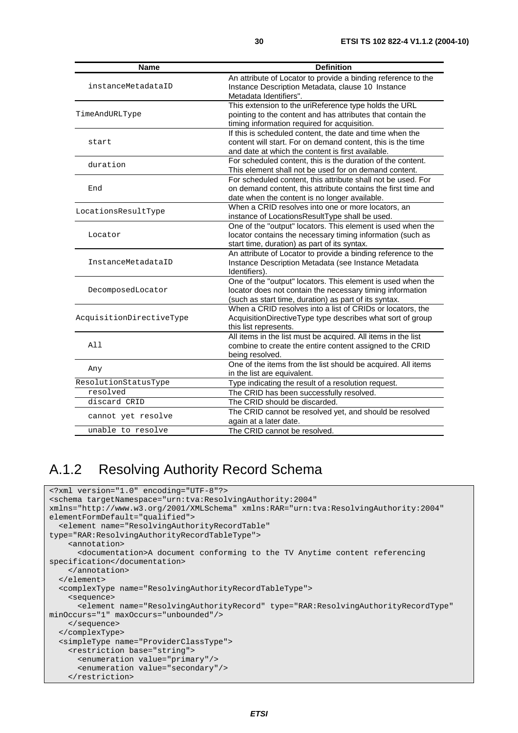| Name                     | <b>Definition</b>                                                                                                                                                                 |
|--------------------------|-----------------------------------------------------------------------------------------------------------------------------------------------------------------------------------|
| instanceMetadataID       | An attribute of Locator to provide a binding reference to the<br>Instance Description Metadata, clause 10 Instance<br>Metadata Identifiers".                                      |
| TimeAndURLType           | This extension to the uriReference type holds the URL<br>pointing to the content and has attributes that contain the<br>timing information required for acquisition.              |
| start                    | If this is scheduled content, the date and time when the<br>content will start. For on demand content, this is the time<br>and date at which the content is first available.      |
| duration                 | For scheduled content, this is the duration of the content.<br>This element shall not be used for on demand content.                                                              |
| End                      | For scheduled content, this attribute shall not be used. For<br>on demand content, this attribute contains the first time and<br>date when the content is no longer available.    |
| LocationsResultType      | When a CRID resolves into one or more locators, an<br>instance of LocationsResultType shall be used.                                                                              |
| Locator                  | One of the "output" locators. This element is used when the<br>locator contains the necessary timing information (such as<br>start time, duration) as part of its syntax.         |
| InstanceMetadataID       | An attribute of Locator to provide a binding reference to the<br>Instance Description Metadata (see Instance Metadata<br>Identifiers).                                            |
| DecomposedLocator        | One of the "output" locators. This element is used when the<br>locator does not contain the necessary timing information<br>(such as start time, duration) as part of its syntax. |
| AcquisitionDirectiveType | When a CRID resolves into a list of CRIDs or locators, the<br>AcquisitionDirectiveType type describes what sort of group<br>this list represents.                                 |
| All                      | All items in the list must be acquired. All items in the list<br>combine to create the entire content assigned to the CRID<br>being resolved.                                     |
| Any                      | One of the items from the list should be acquired. All items<br>in the list are equivalent.                                                                                       |
| ResolutionStatusType     | Type indicating the result of a resolution request.                                                                                                                               |
| resolved                 | The CRID has been successfully resolved.                                                                                                                                          |
| discard CRID             | The CRID should be discarded.                                                                                                                                                     |
| cannot yet resolve       | The CRID cannot be resolved yet, and should be resolved<br>again at a later date.                                                                                                 |
| unable to resolve        | The CRID cannot be resolved.                                                                                                                                                      |

## A.1.2 Resolving Authority Record Schema

```
<?xml version="1.0" encoding="UTF-8"?> 
<schema targetNamespace="urn:tva:ResolvingAuthority:2004" 
xmlns="http://www.w3.org/2001/XMLSchema" xmlns:RAR="urn:tva:ResolvingAuthority:2004" 
elementFormDefault="qualified"> 
   <element name="ResolvingAuthorityRecordTable" 
type="RAR:ResolvingAuthorityRecordTableType"> 
     <annotation> 
       <documentation>A document conforming to the TV Anytime content referencing 
specification</documentation> 
     </annotation> 
   </element> 
   <complexType name="ResolvingAuthorityRecordTableType"> 
     <sequence> 
       <element name="ResolvingAuthorityRecord" type="RAR:ResolvingAuthorityRecordType" 
minOccurs="1" maxOccurs="unbounded"/> 
     </sequence> 
   </complexType> 
   <simpleType name="ProviderClassType"> 
     <restriction base="string"> 
       <enumeration value="primary"/> 
       <enumeration value="secondary"/> 
     </restriction>
```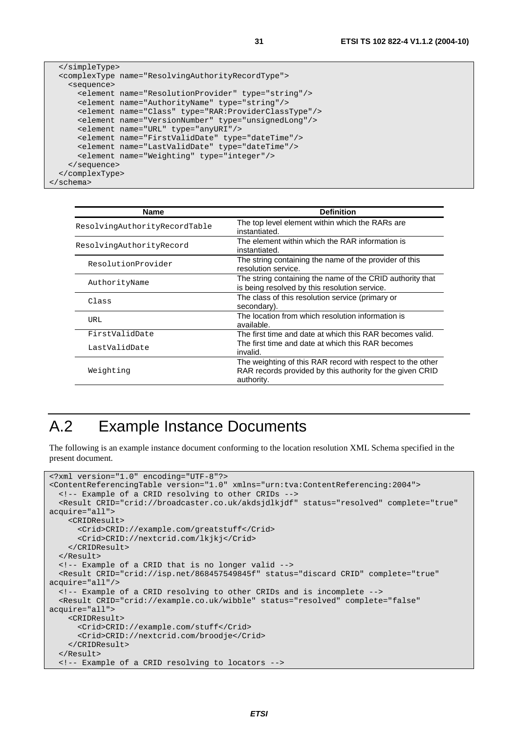```
 </simpleType> 
  <complexType name="ResolvingAuthorityRecordType"> 
     <sequence> 
       <element name="ResolutionProvider" type="string"/> 
       <element name="AuthorityName" type="string"/> 
       <element name="Class" type="RAR:ProviderClassType"/> 
       <element name="VersionNumber" type="unsignedLong"/> 
       <element name="URL" type="anyURI"/> 
       <element name="FirstValidDate" type="dateTime"/> 
       <element name="LastValidDate" type="dateTime"/> 
       <element name="Weighting" type="integer"/> 
     </sequence> 
  </complexType> 
</schema>
```

| <b>Name</b>                   | <b>Definition</b>                                                                                                                     |
|-------------------------------|---------------------------------------------------------------------------------------------------------------------------------------|
| ResolvingAuthorityRecordTable | The top level element within which the RARs are<br>instantiated.                                                                      |
| ResolvingAuthorityRecord      | The element within which the RAR information is<br>instantiated.                                                                      |
| ResolutionProvider            | The string containing the name of the provider of this<br>resolution service.                                                         |
| AuthorityName                 | The string containing the name of the CRID authority that<br>is being resolved by this resolution service.                            |
| Class                         | The class of this resolution service (primary or<br>secondary).                                                                       |
| <b>URL</b>                    | The location from which resolution information is<br>available.                                                                       |
| FirstValidDate                | The first time and date at which this RAR becomes valid.                                                                              |
| LastValidDate                 | The first time and date at which this RAR becomes<br>invalid.                                                                         |
| Weighting                     | The weighting of this RAR record with respect to the other<br>RAR records provided by this authority for the given CRID<br>authority. |

# A.2 Example Instance Documents

The following is an example instance document conforming to the location resolution XML Schema specified in the present document.

```
<?xml version="1.0" encoding="UTF-8"?> 
<ContentReferencingTable version="1.0" xmlns="urn:tva:ContentReferencing:2004"> 
   <!-- Example of a CRID resolving to other CRIDs --> 
   <Result CRID="crid://broadcaster.co.uk/akdsjdlkjdf" status="resolved" complete="true" 
acquire="all"> 
     <CRIDResult> 
       <Crid>CRID://example.com/greatstuff</Crid> 
       <Crid>CRID://nextcrid.com/lkjkj</Crid> 
     </CRIDResult> 
   </Result> 
   <!-- Example of a CRID that is no longer valid --> 
   <Result CRID="crid://isp.net/868457549845f" status="discard CRID" complete="true" 
acquire="all"/> 
   <!-- Example of a CRID resolving to other CRIDs and is incomplete --> 
   <Result CRID="crid://example.co.uk/wibble" status="resolved" complete="false" 
acquire="all"> 
     <CRIDResult> 
       <Crid>CRID://example.com/stuff</Crid> 
       <Crid>CRID://nextcrid.com/broodje</Crid> 
     </CRIDResult> 
   </Result> 
   <!-- Example of a CRID resolving to locators -->
```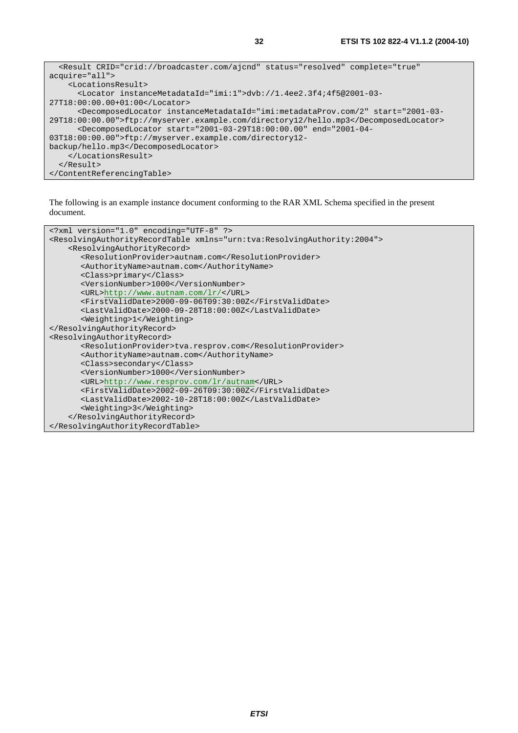```
 <Result CRID="crid://broadcaster.com/ajcnd" status="resolved" complete="true" 
acquire="all"> 
     <LocationsResult> 
       <Locator instanceMetadataId="imi:1">dvb://1.4ee2.3f4;4f5@2001-03-
27T18:00:00.00+01:00</Locator> 
       <DecomposedLocator instanceMetadataId="imi:metadataProv.com/2" start="2001-03-
29T18:00:00.00">ftp://myserver.example.com/directory12/hello.mp3</DecomposedLocator> 
       <DecomposedLocator start="2001-03-29T18:00:00.00" end="2001-04-
03T18:00:00.00">ftp://myserver.example.com/directory12-
backup/hello.mp3</DecomposedLocator> 
     </LocationsResult> 
   </Result> 
</ContentReferencingTable>
```
The following is an example instance document conforming to the RAR XML Schema specified in the present document.

```
<?xml version="1.0" encoding="UTF-8" ?> 
<ResolvingAuthorityRecordTable xmlns="urn:tva:ResolvingAuthority:2004"> 
     <ResolvingAuthorityRecord> 
      <ResolutionProvider>autnam.com</ResolutionProvider> 
      <AuthorityName>autnam.com</AuthorityName> 
      <Class>primary</Class> 
      <VersionNumber>1000</VersionNumber> 
      <URL>http://www.autnam.com/lr/</URL> 
      <FirstValidDate>2000-09-06T09:30:00Z</FirstValidDate> 
      <LastValidDate>2000-09-28T18:00:00Z</LastValidDate> 
      <Weighting>1</Weighting> 
</ResolvingAuthorityRecord> 
<ResolvingAuthorityRecord> 
       <ResolutionProvider>tva.resprov.com</ResolutionProvider> 
      <AuthorityName>autnam.com</AuthorityName> 
      <Class>secondary</Class> 
      <VersionNumber>1000</VersionNumber> 
      <URL>http://www.resprov.com/lr/autnam</URL> 
       <FirstValidDate>2002-09-26T09:30:00Z</FirstValidDate> 
       <LastValidDate>2002-10-28T18:00:00Z</LastValidDate> 
      <Weighting>3</Weighting> 
     </ResolvingAuthorityRecord> 
</ResolvingAuthorityRecordTable>
```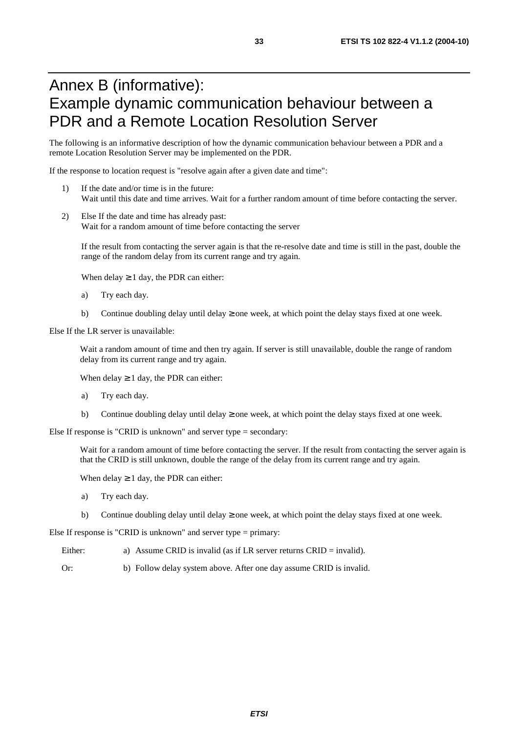# Annex B (informative): Example dynamic communication behaviour between a PDR and a Remote Location Resolution Server

The following is an informative description of how the dynamic communication behaviour between a PDR and a remote Location Resolution Server may be implemented on the PDR.

If the response to location request is "resolve again after a given date and time":

- 1) If the date and/or time is in the future: Wait until this date and time arrives. Wait for a further random amount of time before contacting the server.
- 2) Else If the date and time has already past: Wait for a random amount of time before contacting the server

If the result from contacting the server again is that the re-resolve date and time is still in the past, double the range of the random delay from its current range and try again.

When delay  $\geq 1$  day, the PDR can either:

- a) Try each day.
- b) Continue doubling delay until delay  $\geq$  one week, at which point the delay stays fixed at one week.

Else If the LR server is unavailable:

Wait a random amount of time and then try again. If server is still unavailable, double the range of random delay from its current range and try again.

When delay  $\geq 1$  day, the PDR can either:

- a) Try each day.
- b) Continue doubling delay until delay  $\geq$  one week, at which point the delay stays fixed at one week.

Else If response is "CRID is unknown" and server type = secondary:

Wait for a random amount of time before contacting the server. If the result from contacting the server again is that the CRID is still unknown, double the range of the delay from its current range and try again.

When delay  $\geq 1$  day, the PDR can either:

- a) Try each day.
- b) Continue doubling delay until delay  $\geq$  one week, at which point the delay stays fixed at one week.

Else If response is "CRID is unknown" and server type = primary:

- Either: a) Assume CRID is invalid (as if LR server returns CRID = invalid).
- Or: b) Follow delay system above. After one day assume CRID is invalid.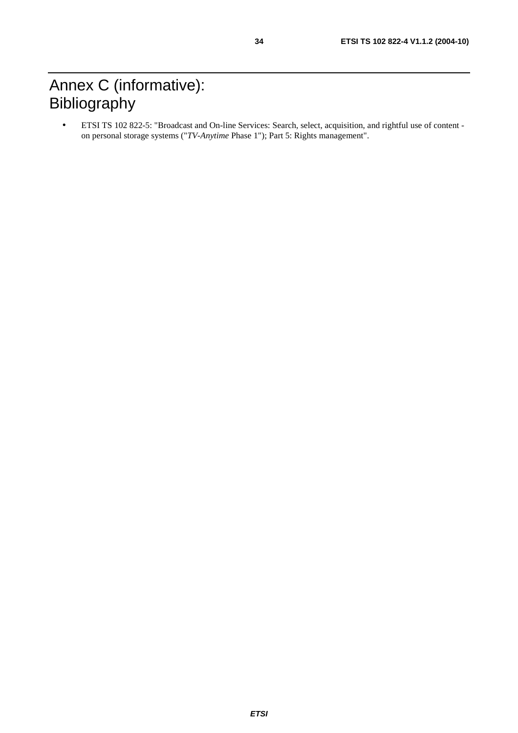# Annex C (informative): Bibliography

• ETSI TS 102 822-5: "Broadcast and On-line Services: Search, select, acquisition, and rightful use of content on personal storage systems ("*TV-Anytime* Phase 1"); Part 5: Rights management".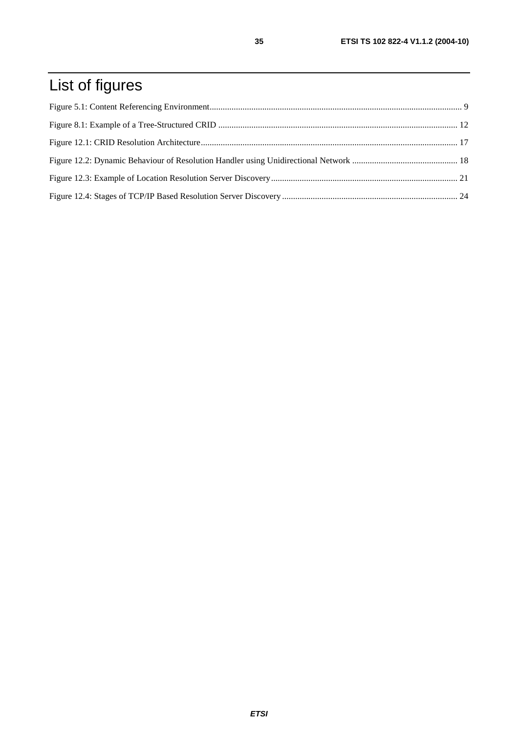# List of figures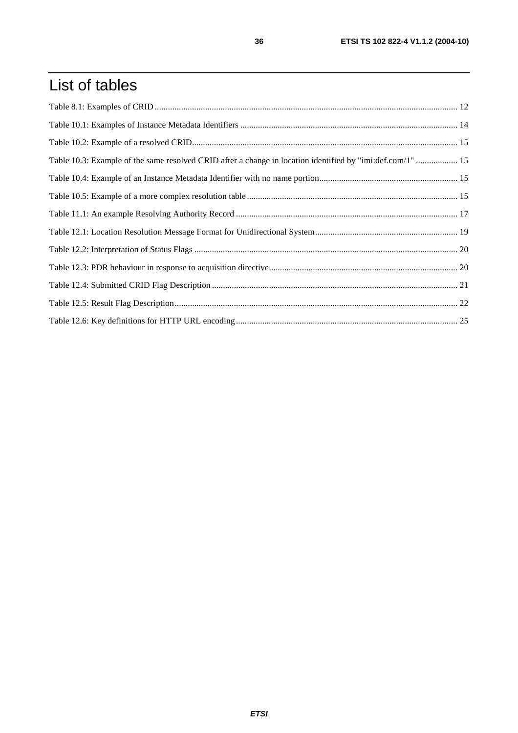# List of tables

| Table 10.3: Example of the same resolved CRID after a change in location identified by "imi:def.com/1"  15 |  |
|------------------------------------------------------------------------------------------------------------|--|
|                                                                                                            |  |
|                                                                                                            |  |
|                                                                                                            |  |
|                                                                                                            |  |
|                                                                                                            |  |
|                                                                                                            |  |
|                                                                                                            |  |
|                                                                                                            |  |
|                                                                                                            |  |